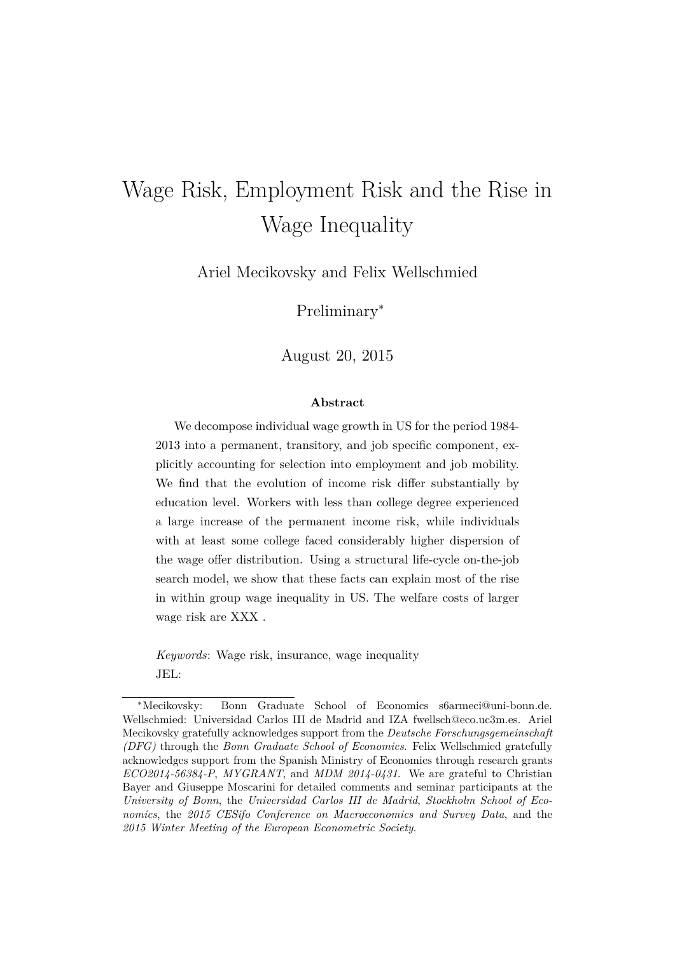# Wage Risk, Employment Risk and the Rise in Wage Inequality

Ariel Mecikovsky and Felix Wellschmied

Preliminary<sup>∗</sup>

August 20, 2015

#### **Abstract**

We decompose individual wage growth in US for the period 1984- 2013 into a permanent, transitory, and job specific component, explicitly accounting for selection into employment and job mobility. We find that the evolution of income risk differ substantially by education level. Workers with less than college degree experienced a large increase of the permanent income risk, while individuals with at least some college faced considerably higher dispersion of the wage offer distribution. Using a structural life-cycle on-the-job search model, we show that these facts can explain most of the rise in within group wage inequality in US. The welfare costs of larger wage risk are XXX .

*Keywords*: Wage risk, insurance, wage inequality JEL:

<sup>∗</sup>Mecikovsky: Bonn Graduate School of Economics s6armeci@uni-bonn.de. Wellschmied: Universidad Carlos III de Madrid and IZA fwellsch@eco.uc3m.es. Ariel Mecikovsky gratefully acknowledges support from the *Deutsche Forschungsgemeinschaft (DFG)* through the *Bonn Graduate School of Economics*. Felix Wellschmied gratefully acknowledges support from the Spanish Ministry of Economics through research grants *ECO2014-56384-P*, *MYGRANT*, and *MDM 2014-0431*. We are grateful to Christian Bayer and Giuseppe Moscarini for detailed comments and seminar participants at the *University of Bonn*, the *Universidad Carlos III de Madrid*, *Stockholm School of Economics*, the *2015 CESifo Conference on Macroeconomics and Survey Data*, and the *2015 Winter Meeting of the European Econometric Society*.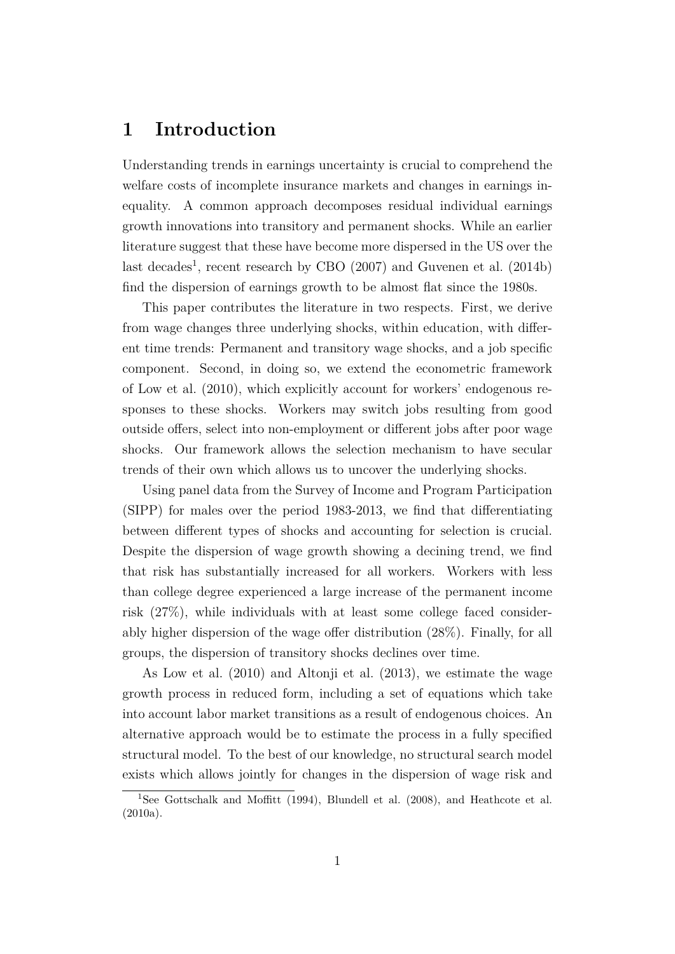## **1 Introduction**

Understanding trends in earnings uncertainty is crucial to comprehend the welfare costs of incomplete insurance markets and changes in earnings inequality. A common approach decomposes residual individual earnings growth innovations into transitory and permanent shocks. While an earlier literature suggest that these have become more dispersed in the US over the last decades<sup>1</sup>, recent research by CBO  $(2007)$  and Guvenen et al.  $(2014b)$ find the dispersion of earnings growth to be almost flat since the 1980s.

This paper contributes the literature in two respects. First, we derive from wage changes three underlying shocks, within education, with different time trends: Permanent and transitory wage shocks, and a job specific component. Second, in doing so, we extend the econometric framework of Low et al. (2010), which explicitly account for workers' endogenous responses to these shocks. Workers may switch jobs resulting from good outside offers, select into non-employment or different jobs after poor wage shocks. Our framework allows the selection mechanism to have secular trends of their own which allows us to uncover the underlying shocks.

Using panel data from the Survey of Income and Program Participation (SIPP) for males over the period 1983-2013, we find that differentiating between different types of shocks and accounting for selection is crucial. Despite the dispersion of wage growth showing a decining trend, we find that risk has substantially increased for all workers. Workers with less than college degree experienced a large increase of the permanent income risk (27%), while individuals with at least some college faced considerably higher dispersion of the wage offer distribution (28%). Finally, for all groups, the dispersion of transitory shocks declines over time.

As Low et al. (2010) and Altonji et al. (2013), we estimate the wage growth process in reduced form, including a set of equations which take into account labor market transitions as a result of endogenous choices. An alternative approach would be to estimate the process in a fully specified structural model. To the best of our knowledge, no structural search model exists which allows jointly for changes in the dispersion of wage risk and

<sup>1</sup>See Gottschalk and Moffitt (1994), Blundell et al. (2008), and Heathcote et al. (2010a).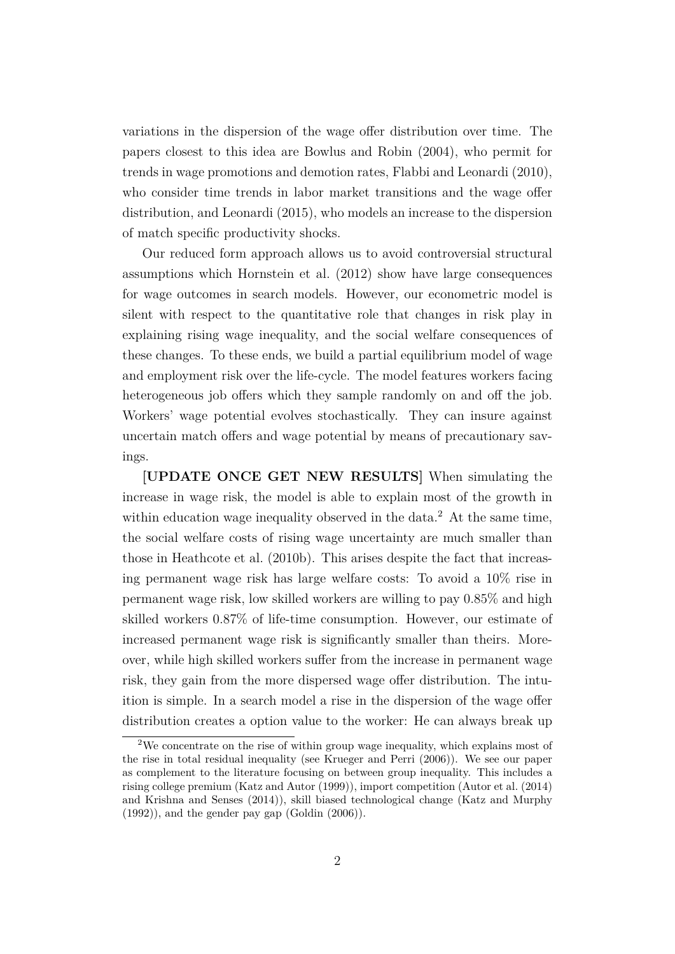variations in the dispersion of the wage offer distribution over time. The papers closest to this idea are Bowlus and Robin (2004), who permit for trends in wage promotions and demotion rates, Flabbi and Leonardi (2010), who consider time trends in labor market transitions and the wage offer distribution, and Leonardi (2015), who models an increase to the dispersion of match specific productivity shocks.

Our reduced form approach allows us to avoid controversial structural assumptions which Hornstein et al. (2012) show have large consequences for wage outcomes in search models. However, our econometric model is silent with respect to the quantitative role that changes in risk play in explaining rising wage inequality, and the social welfare consequences of these changes. To these ends, we build a partial equilibrium model of wage and employment risk over the life-cycle. The model features workers facing heterogeneous job offers which they sample randomly on and off the job. Workers' wage potential evolves stochastically. They can insure against uncertain match offers and wage potential by means of precautionary savings.

**[UPDATE ONCE GET NEW RESULTS]** When simulating the increase in wage risk, the model is able to explain most of the growth in within education wage inequality observed in the data.<sup>2</sup> At the same time, the social welfare costs of rising wage uncertainty are much smaller than those in Heathcote et al. (2010b). This arises despite the fact that increasing permanent wage risk has large welfare costs: To avoid a 10% rise in permanent wage risk, low skilled workers are willing to pay 0.85% and high skilled workers 0.87% of life-time consumption. However, our estimate of increased permanent wage risk is significantly smaller than theirs. Moreover, while high skilled workers suffer from the increase in permanent wage risk, they gain from the more dispersed wage offer distribution. The intuition is simple. In a search model a rise in the dispersion of the wage offer distribution creates a option value to the worker: He can always break up

<sup>2</sup>We concentrate on the rise of within group wage inequality, which explains most of the rise in total residual inequality (see Krueger and Perri (2006)). We see our paper as complement to the literature focusing on between group inequality. This includes a rising college premium (Katz and Autor (1999)), import competition (Autor et al. (2014) and Krishna and Senses (2014)), skill biased technological change (Katz and Murphy  $(1992)$ , and the gender pay gap  $(Goldin (2006))$ .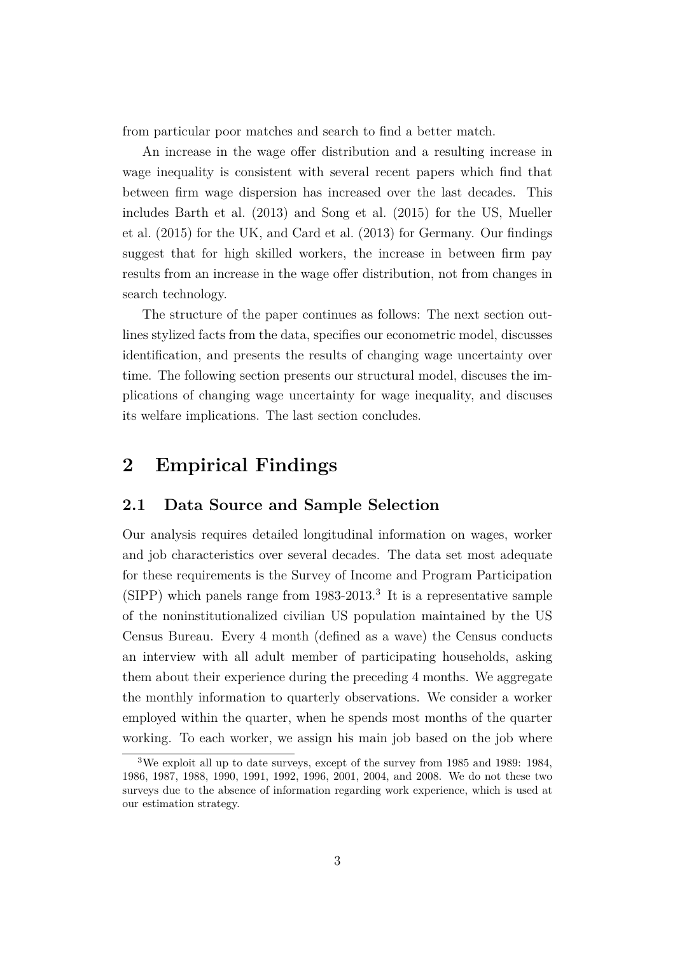from particular poor matches and search to find a better match.

An increase in the wage offer distribution and a resulting increase in wage inequality is consistent with several recent papers which find that between firm wage dispersion has increased over the last decades. This includes Barth et al. (2013) and Song et al. (2015) for the US, Mueller et al. (2015) for the UK, and Card et al. (2013) for Germany. Our findings suggest that for high skilled workers, the increase in between firm pay results from an increase in the wage offer distribution, not from changes in search technology.

The structure of the paper continues as follows: The next section outlines stylized facts from the data, specifies our econometric model, discusses identification, and presents the results of changing wage uncertainty over time. The following section presents our structural model, discuses the implications of changing wage uncertainty for wage inequality, and discuses its welfare implications. The last section concludes.

# **2 Empirical Findings**

#### **2.1 Data Source and Sample Selection**

Our analysis requires detailed longitudinal information on wages, worker and job characteristics over several decades. The data set most adequate for these requirements is the Survey of Income and Program Participation (SIPP) which panels range from 1983-2013.<sup>3</sup> It is a representative sample of the noninstitutionalized civilian US population maintained by the US Census Bureau. Every 4 month (defined as a wave) the Census conducts an interview with all adult member of participating households, asking them about their experience during the preceding 4 months. We aggregate the monthly information to quarterly observations. We consider a worker employed within the quarter, when he spends most months of the quarter working. To each worker, we assign his main job based on the job where

<sup>3</sup>We exploit all up to date surveys, except of the survey from 1985 and 1989: 1984, 1986, 1987, 1988, 1990, 1991, 1992, 1996, 2001, 2004, and 2008. We do not these two surveys due to the absence of information regarding work experience, which is used at our estimation strategy.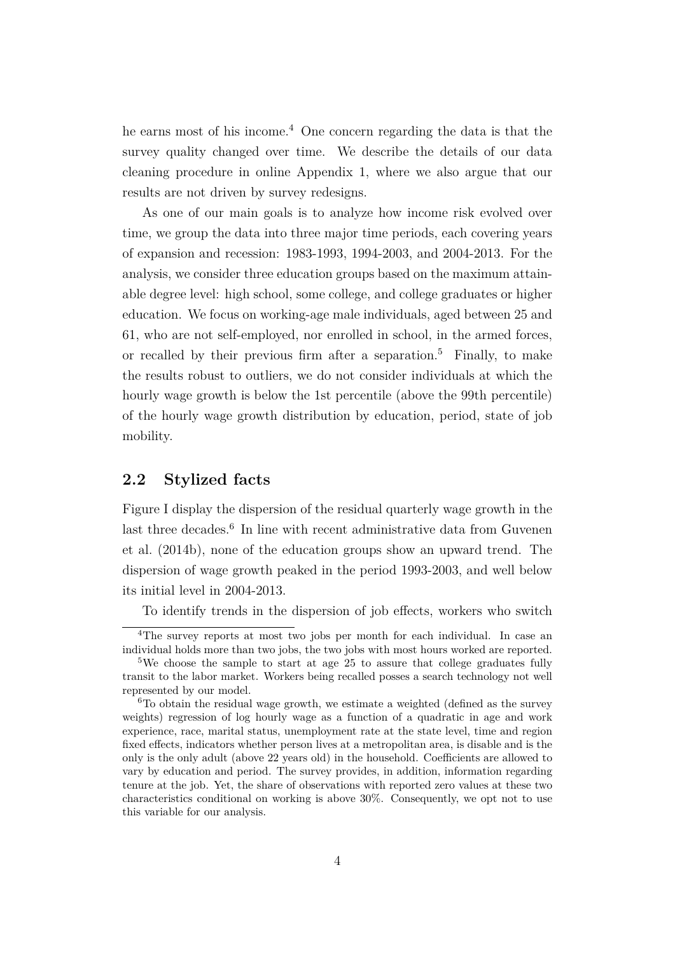he earns most of his income.<sup>4</sup> One concern regarding the data is that the survey quality changed over time. We describe the details of our data cleaning procedure in online Appendix 1, where we also argue that our results are not driven by survey redesigns.

As one of our main goals is to analyze how income risk evolved over time, we group the data into three major time periods, each covering years of expansion and recession: 1983-1993, 1994-2003, and 2004-2013. For the analysis, we consider three education groups based on the maximum attainable degree level: high school, some college, and college graduates or higher education. We focus on working-age male individuals, aged between 25 and 61, who are not self-employed, nor enrolled in school, in the armed forces, or recalled by their previous firm after a separation.<sup>5</sup> Finally, to make the results robust to outliers, we do not consider individuals at which the hourly wage growth is below the 1st percentile (above the 99th percentile) of the hourly wage growth distribution by education, period, state of job mobility.

## **2.2 Stylized facts**

Figure I display the dispersion of the residual quarterly wage growth in the last three decades.<sup>6</sup> In line with recent administrative data from Guvenen et al. (2014b), none of the education groups show an upward trend. The dispersion of wage growth peaked in the period 1993-2003, and well below its initial level in 2004-2013.

To identify trends in the dispersion of job effects, workers who switch

<sup>4</sup>The survey reports at most two jobs per month for each individual. In case an individual holds more than two jobs, the two jobs with most hours worked are reported.

<sup>&</sup>lt;sup>5</sup>We choose the sample to start at age 25 to assure that college graduates fully transit to the labor market. Workers being recalled posses a search technology not well represented by our model.

<sup>6</sup>To obtain the residual wage growth, we estimate a weighted (defined as the survey weights) regression of log hourly wage as a function of a quadratic in age and work experience, race, marital status, unemployment rate at the state level, time and region fixed effects, indicators whether person lives at a metropolitan area, is disable and is the only is the only adult (above 22 years old) in the household. Coefficients are allowed to vary by education and period. The survey provides, in addition, information regarding tenure at the job. Yet, the share of observations with reported zero values at these two characteristics conditional on working is above 30%. Consequently, we opt not to use this variable for our analysis.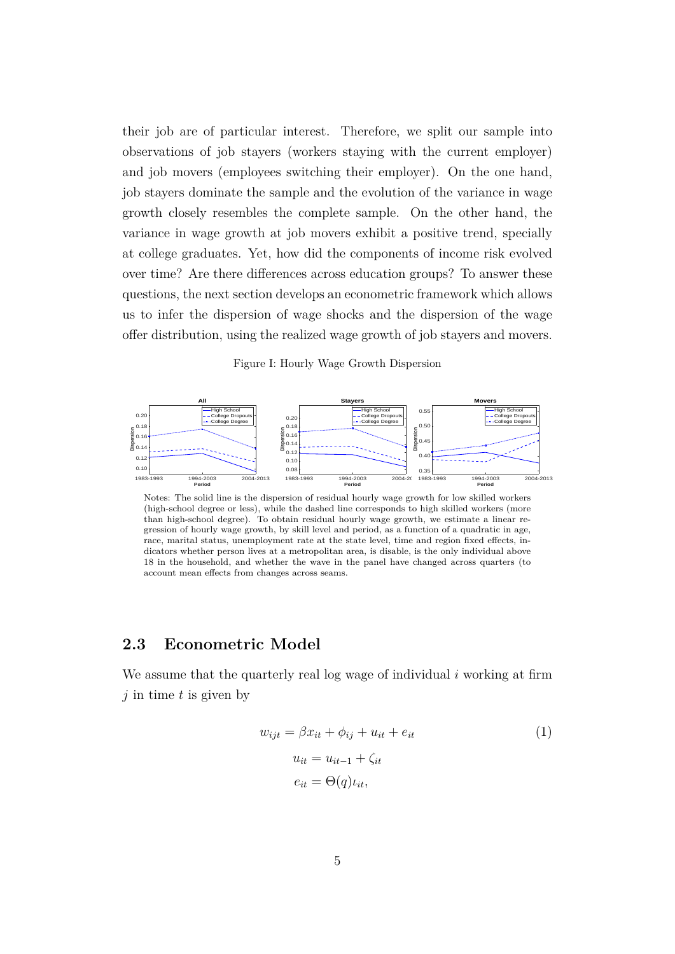their job are of particular interest. Therefore, we split our sample into observations of job stayers (workers staying with the current employer) and job movers (employees switching their employer). On the one hand, job stayers dominate the sample and the evolution of the variance in wage growth closely resembles the complete sample. On the other hand, the variance in wage growth at job movers exhibit a positive trend, specially at college graduates. Yet, how did the components of income risk evolved over time? Are there differences across education groups? To answer these questions, the next section develops an econometric framework which allows us to infer the dispersion of wage shocks and the dispersion of the wage offer distribution, using the realized wage growth of job stayers and movers.

Figure I: Hourly Wage Growth Dispersion



Notes: The solid line is the dispersion of residual hourly wage growth for low skilled workers (high-school degree or less), while the dashed line corresponds to high skilled workers (more than high-school degree). To obtain residual hourly wage growth, we estimate a linear regression of hourly wage growth, by skill level and period, as a function of a quadratic in age, race, marital status, unemployment rate at the state level, time and region fixed effects, indicators whether person lives at a metropolitan area, is disable, is the only individual above 18 in the household, and whether the wave in the panel have changed across quarters (to account mean effects from changes across seams.

### **2.3 Econometric Model**

We assume that the quarterly real log wage of individual *i* working at firm *j* in time *t* is given by

$$
w_{ijt} = \beta x_{it} + \phi_{ij} + u_{it} + e_{it}
$$
  
\n
$$
u_{it} = u_{it-1} + \zeta_{it}
$$
  
\n
$$
e_{it} = \Theta(q)u_{it},
$$
  
\n(1)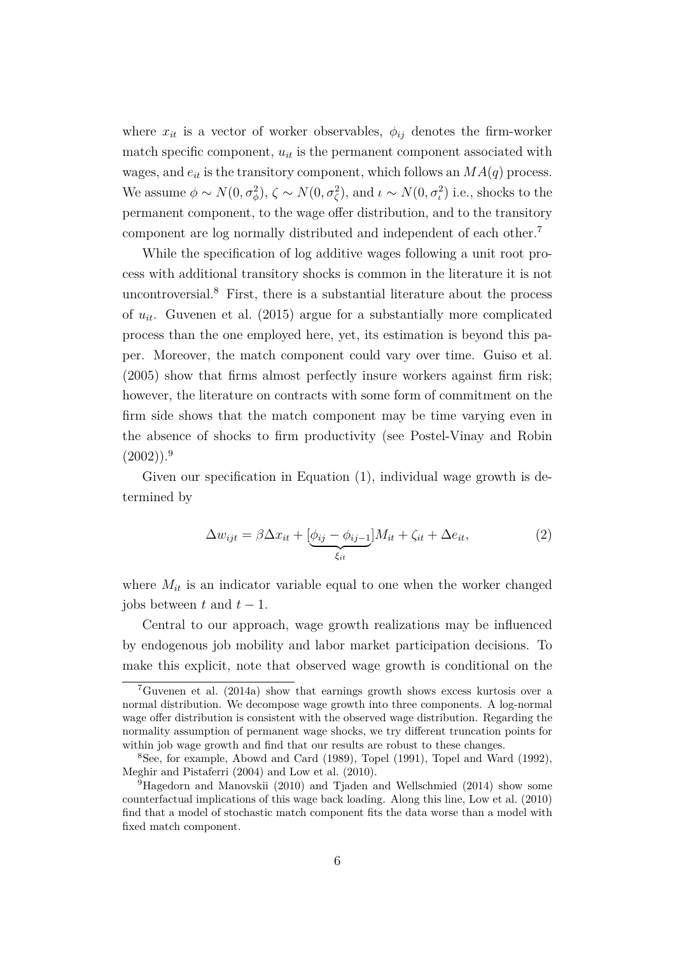where  $x_{it}$  is a vector of worker observables,  $\phi_{ij}$  denotes the firm-worker match specific component,  $u_{it}$  is the permanent component associated with wages, and  $e_{it}$  is the transitory component, which follows an  $MA(q)$  process. We assume  $\phi \sim N(0, \sigma_{\phi}^2)$ ,  $\zeta \sim N(0, \sigma_{\zeta}^2)$ , and  $\iota \sim N(0, \sigma_{\iota}^2)$  i.e., shocks to the permanent component, to the wage offer distribution, and to the transitory component are log normally distributed and independent of each other.<sup>7</sup>

While the specification of log additive wages following a unit root process with additional transitory shocks is common in the literature it is not uncontroversial.<sup>8</sup> First, there is a substantial literature about the process of *uit*. Guvenen et al. (2015) argue for a substantially more complicated process than the one employed here, yet, its estimation is beyond this paper. Moreover, the match component could vary over time. Guiso et al. (2005) show that firms almost perfectly insure workers against firm risk; however, the literature on contracts with some form of commitment on the firm side shows that the match component may be time varying even in the absence of shocks to firm productivity (see Postel-Vinay and Robin  $(2002)$ ).<sup>9</sup>

Given our specification in Equation (1), individual wage growth is determined by

$$
\Delta w_{ijt} = \beta \Delta x_{it} + \underbrace{[\phi_{ij} - \phi_{ij-1}]}_{\xi_{it}} M_{it} + \zeta_{it} + \Delta e_{it},\tag{2}
$$

where  $M_{it}$  is an indicator variable equal to one when the worker changed jobs between  $t$  and  $t-1$ .

Central to our approach, wage growth realizations may be influenced by endogenous job mobility and labor market participation decisions. To make this explicit, note that observed wage growth is conditional on the

<sup>7</sup>Guvenen et al. (2014a) show that earnings growth shows excess kurtosis over a normal distribution. We decompose wage growth into three components. A log-normal wage offer distribution is consistent with the observed wage distribution. Regarding the normality assumption of permanent wage shocks, we try different truncation points for within job wage growth and find that our results are robust to these changes.

<sup>8</sup>See, for example, Abowd and Card (1989), Topel (1991), Topel and Ward (1992), Meghir and Pistaferri (2004) and Low et al. (2010).

<sup>9</sup>Hagedorn and Manovskii (2010) and Tjaden and Wellschmied (2014) show some counterfactual implications of this wage back loading. Along this line, Low et al. (2010) find that a model of stochastic match component fits the data worse than a model with fixed match component.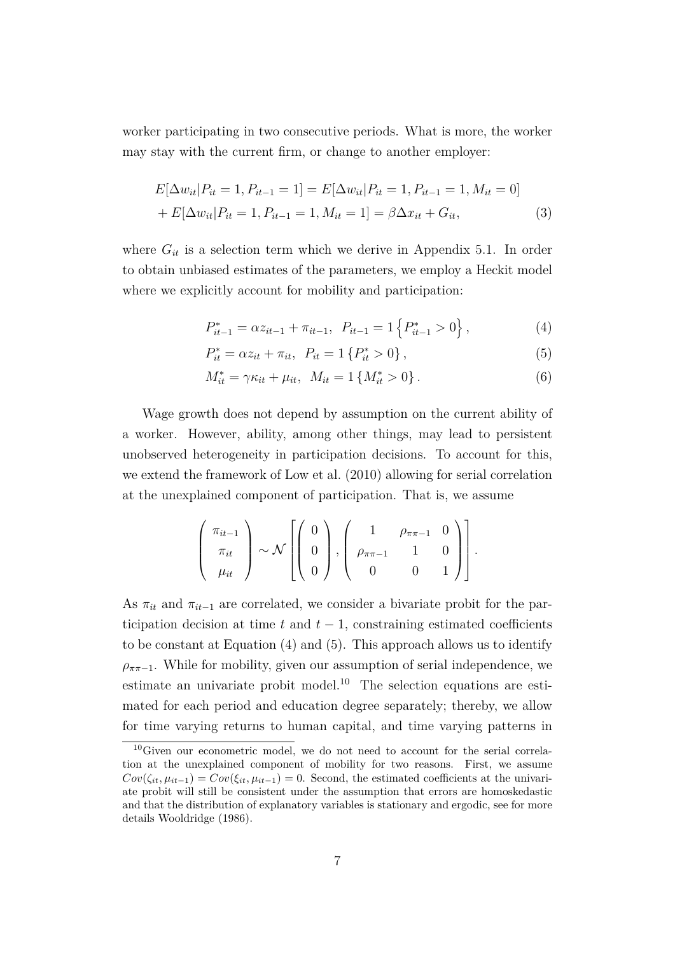worker participating in two consecutive periods. What is more, the worker may stay with the current firm, or change to another employer:

$$
E[\Delta w_{it}|P_{it} = 1, P_{it-1} = 1] = E[\Delta w_{it}|P_{it} = 1, P_{it-1} = 1, M_{it} = 0]
$$
  
+ 
$$
E[\Delta w_{it}|P_{it} = 1, P_{it-1} = 1, M_{it} = 1] = \beta \Delta x_{it} + G_{it},
$$
 (3)

where  $G_{it}$  is a selection term which we derive in Appendix 5.1. In order to obtain unbiased estimates of the parameters, we employ a Heckit model where we explicitly account for mobility and participation:

$$
P_{it-1}^* = \alpha z_{it-1} + \pi_{it-1}, \ P_{it-1} = 1 \left\{ P_{it-1}^* > 0 \right\},\tag{4}
$$

$$
P_{it}^* = \alpha z_{it} + \pi_{it}, \ \ P_{it} = 1 \{ P_{it}^* > 0 \}, \tag{5}
$$

$$
M_{it}^* = \gamma \kappa_{it} + \mu_{it}, \ \ M_{it} = 1 \{ M_{it}^* > 0 \} \,. \tag{6}
$$

Wage growth does not depend by assumption on the current ability of a worker. However, ability, among other things, may lead to persistent unobserved heterogeneity in participation decisions. To account for this, we extend the framework of Low et al. (2010) allowing for serial correlation at the unexplained component of participation. That is, we assume

$$
\left(\begin{array}{c}\pi_{it-1}\\ \pi_{it}\\ \mu_{it}\end{array}\right)\sim\mathcal{N}\left[\left(\begin{array}{c}0\\ 0\\ 0\end{array}\right),\left(\begin{array}{ccc}1&\rho_{\pi\pi-1}&0\\ \rho_{\pi\pi-1}&1&0\\ 0&0&1\end{array}\right)\right].
$$

As  $\pi_{it}$  and  $\pi_{it-1}$  are correlated, we consider a bivariate probit for the participation decision at time  $t$  and  $t - 1$ , constraining estimated coefficients to be constant at Equation (4) and (5). This approach allows us to identify  $\rho_{\pi\pi-1}$ . While for mobility, given our assumption of serial independence, we estimate an univariate probit model.<sup>10</sup> The selection equations are estimated for each period and education degree separately; thereby, we allow for time varying returns to human capital, and time varying patterns in

<sup>10</sup>Given our econometric model, we do not need to account for the serial correlation at the unexplained component of mobility for two reasons. First, we assume  $Cov(\zeta_{it}, \mu_{it-1}) = Cov(\xi_{it}, \mu_{it-1}) = 0$ . Second, the estimated coefficients at the univariate probit will still be consistent under the assumption that errors are homoskedastic and that the distribution of explanatory variables is stationary and ergodic, see for more details Wooldridge (1986).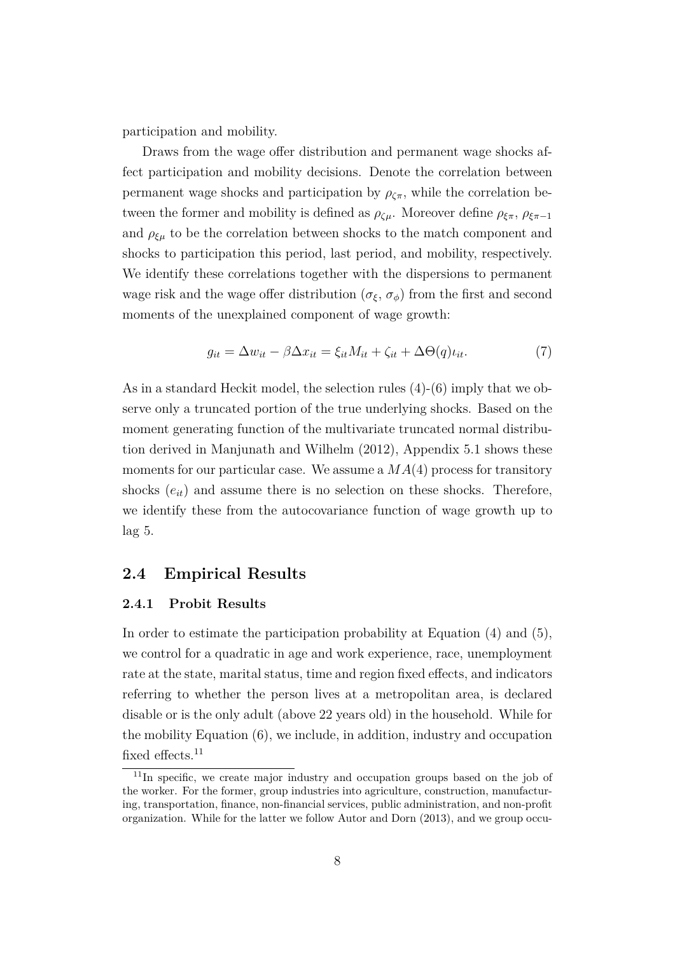participation and mobility.

Draws from the wage offer distribution and permanent wage shocks affect participation and mobility decisions. Denote the correlation between permanent wage shocks and participation by  $\rho_{\zeta\pi}$ , while the correlation between the former and mobility is defined as  $\rho_{\zeta\mu}$ . Moreover define  $\rho_{\xi\pi}$ ,  $\rho_{\xi\pi-1}$ and  $\rho_{\xi\mu}$  to be the correlation between shocks to the match component and shocks to participation this period, last period, and mobility, respectively. We identify these correlations together with the dispersions to permanent wage risk and the wage offer distribution ( $\sigma_{\xi}$ ,  $\sigma_{\phi}$ ) from the first and second moments of the unexplained component of wage growth:

$$
g_{it} = \Delta w_{it} - \beta \Delta x_{it} = \xi_{it} M_{it} + \zeta_{it} + \Delta \Theta(q) \iota_{it}.
$$
 (7)

As in a standard Heckit model, the selection rules (4)-(6) imply that we observe only a truncated portion of the true underlying shocks. Based on the moment generating function of the multivariate truncated normal distribution derived in Manjunath and Wilhelm (2012), Appendix 5.1 shows these moments for our particular case. We assume a *MA*(4) process for transitory shocks  $(e_{it})$  and assume there is no selection on these shocks. Therefore, we identify these from the autocovariance function of wage growth up to lag 5.

## **2.4 Empirical Results**

#### **2.4.1 Probit Results**

In order to estimate the participation probability at Equation (4) and (5), we control for a quadratic in age and work experience, race, unemployment rate at the state, marital status, time and region fixed effects, and indicators referring to whether the person lives at a metropolitan area, is declared disable or is the only adult (above 22 years old) in the household. While for the mobility Equation (6), we include, in addition, industry and occupation fixed effects.<sup>11</sup>

 $11$ In specific, we create major industry and occupation groups based on the job of the worker. For the former, group industries into agriculture, construction, manufacturing, transportation, finance, non-financial services, public administration, and non-profit organization. While for the latter we follow Autor and Dorn (2013), and we group occu-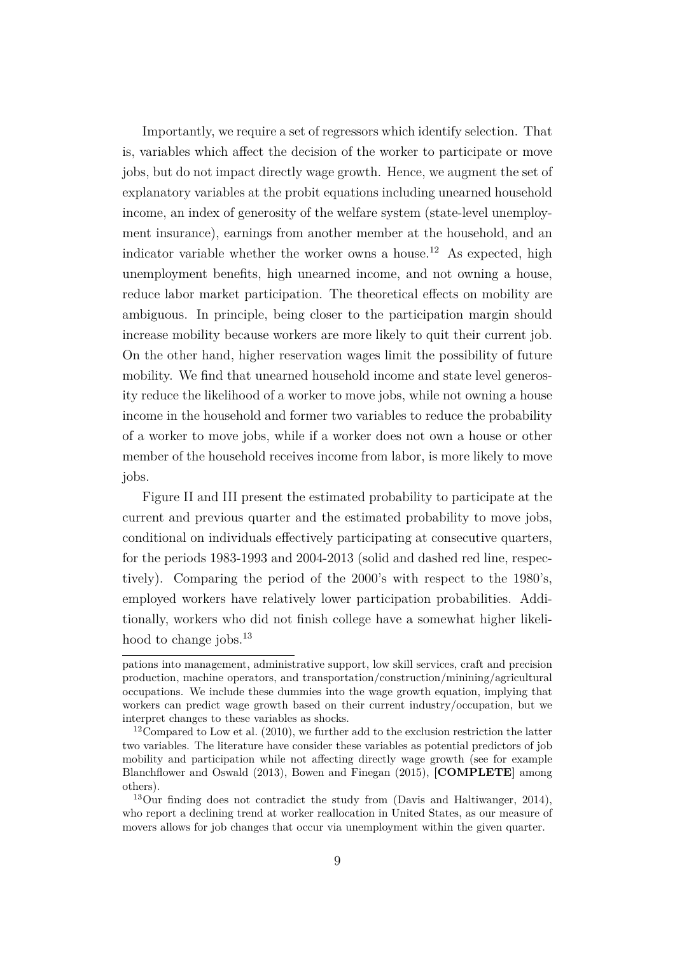Importantly, we require a set of regressors which identify selection. That is, variables which affect the decision of the worker to participate or move jobs, but do not impact directly wage growth. Hence, we augment the set of explanatory variables at the probit equations including unearned household income, an index of generosity of the welfare system (state-level unemployment insurance), earnings from another member at the household, and an indicator variable whether the worker owns a house.<sup>12</sup> As expected, high unemployment benefits, high unearned income, and not owning a house, reduce labor market participation. The theoretical effects on mobility are ambiguous. In principle, being closer to the participation margin should increase mobility because workers are more likely to quit their current job. On the other hand, higher reservation wages limit the possibility of future mobility. We find that unearned household income and state level generosity reduce the likelihood of a worker to move jobs, while not owning a house income in the household and former two variables to reduce the probability of a worker to move jobs, while if a worker does not own a house or other member of the household receives income from labor, is more likely to move jobs.

Figure II and III present the estimated probability to participate at the current and previous quarter and the estimated probability to move jobs, conditional on individuals effectively participating at consecutive quarters, for the periods 1983-1993 and 2004-2013 (solid and dashed red line, respectively). Comparing the period of the 2000's with respect to the 1980's, employed workers have relatively lower participation probabilities. Additionally, workers who did not finish college have a somewhat higher likelihood to change jobs.<sup>13</sup>

pations into management, administrative support, low skill services, craft and precision production, machine operators, and transportation/construction/minining/agricultural occupations. We include these dummies into the wage growth equation, implying that workers can predict wage growth based on their current industry/occupation, but we interpret changes to these variables as shocks.

<sup>&</sup>lt;sup>12</sup>Compared to Low et al.  $(2010)$ , we further add to the exclusion restriction the latter two variables. The literature have consider these variables as potential predictors of job mobility and participation while not affecting directly wage growth (see for example Blanchflower and Oswald (2013), Bowen and Finegan (2015), **[COMPLETE]** among others).

<sup>13</sup>Our finding does not contradict the study from (Davis and Haltiwanger, 2014), who report a declining trend at worker reallocation in United States, as our measure of movers allows for job changes that occur via unemployment within the given quarter.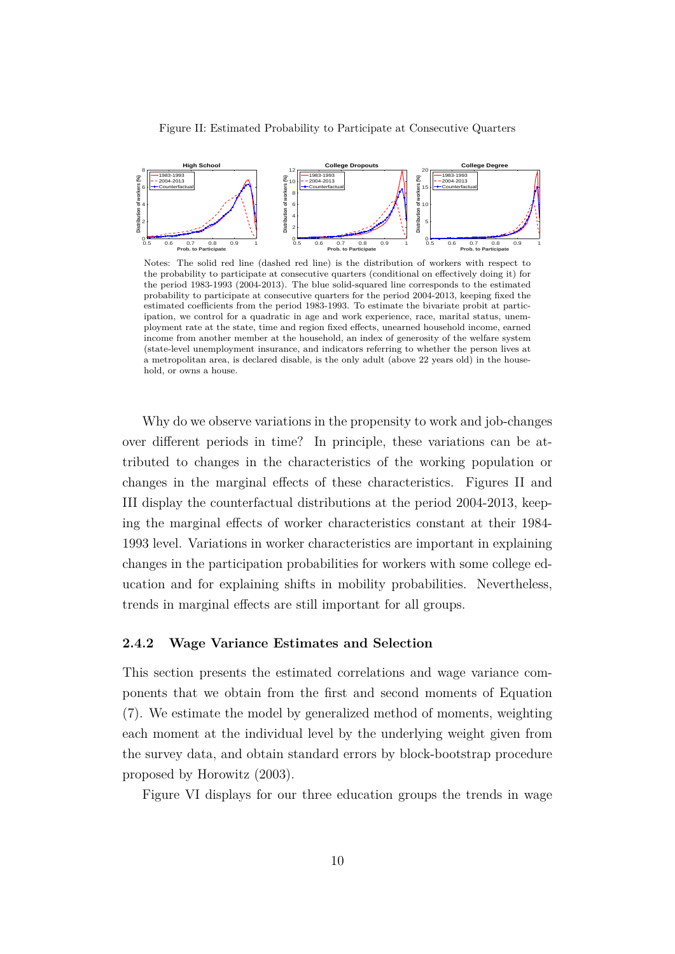



Notes: The solid red line (dashed red line) is the distribution of workers with respect to the probability to participate at consecutive quarters (conditional on effectively doing it) for the period 1983-1993 (2004-2013). The blue solid-squared line corresponds to the estimated probability to participate at consecutive quarters for the period 2004-2013, keeping fixed the estimated coefficients from the period 1983-1993. To estimate the bivariate probit at participation, we control for a quadratic in age and work experience, race, marital status, unemployment rate at the state, time and region fixed effects, unearned household income, earned income from another member at the household, an index of generosity of the welfare system (state-level unemployment insurance, and indicators referring to whether the person lives at a metropolitan area, is declared disable, is the only adult (above 22 years old) in the household, or owns a house.

Why do we observe variations in the propensity to work and job-changes over different periods in time? In principle, these variations can be attributed to changes in the characteristics of the working population or changes in the marginal effects of these characteristics. Figures II and III display the counterfactual distributions at the period 2004-2013, keeping the marginal effects of worker characteristics constant at their 1984- 1993 level. Variations in worker characteristics are important in explaining changes in the participation probabilities for workers with some college education and for explaining shifts in mobility probabilities. Nevertheless, trends in marginal effects are still important for all groups.

#### **2.4.2 Wage Variance Estimates and Selection**

This section presents the estimated correlations and wage variance components that we obtain from the first and second moments of Equation (7). We estimate the model by generalized method of moments, weighting each moment at the individual level by the underlying weight given from the survey data, and obtain standard errors by block-bootstrap procedure proposed by Horowitz (2003).

Figure VI displays for our three education groups the trends in wage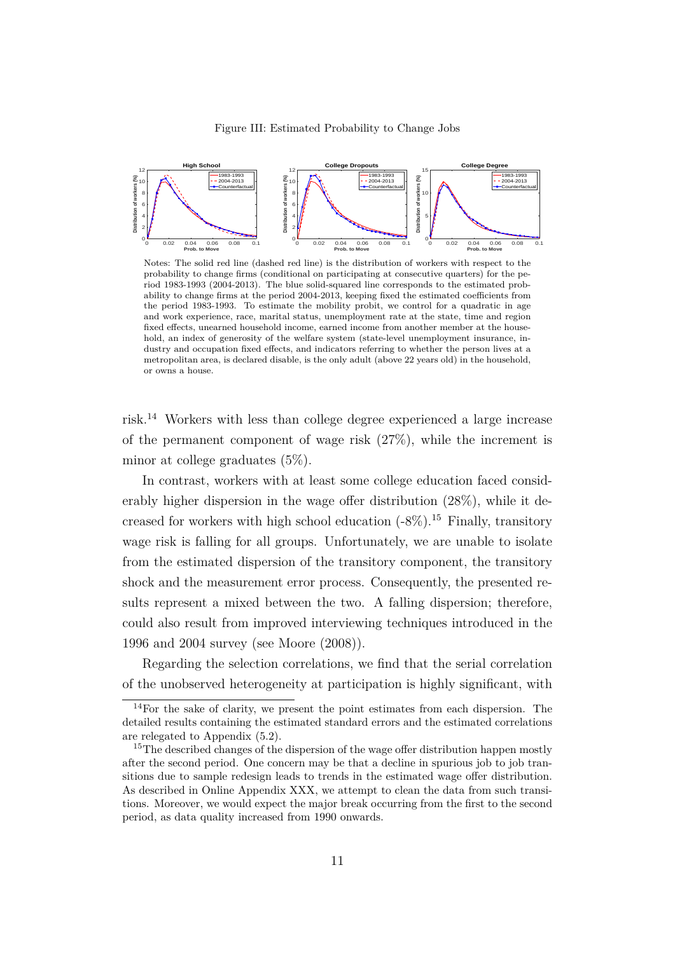



Notes: The solid red line (dashed red line) is the distribution of workers with respect to the probability to change firms (conditional on participating at consecutive quarters) for the period 1983-1993 (2004-2013). The blue solid-squared line corresponds to the estimated probability to change firms at the period 2004-2013, keeping fixed the estimated coefficients from the period 1983-1993. To estimate the mobility probit, we control for a quadratic in age and work experience, race, marital status, unemployment rate at the state, time and region fixed effects, unearned household income, earned income from another member at the household, an index of generosity of the welfare system (state-level unemployment insurance, industry and occupation fixed effects, and indicators referring to whether the person lives at a metropolitan area, is declared disable, is the only adult (above 22 years old) in the household, or owns a house.

risk.<sup>14</sup> Workers with less than college degree experienced a large increase of the permanent component of wage risk  $(27\%)$ , while the increment is minor at college graduates (5%).

In contrast, workers with at least some college education faced considerably higher dispersion in the wage offer distribution (28%), while it decreased for workers with high school education  $(-8\%)$ .<sup>15</sup> Finally, transitory wage risk is falling for all groups. Unfortunately, we are unable to isolate from the estimated dispersion of the transitory component, the transitory shock and the measurement error process. Consequently, the presented results represent a mixed between the two. A falling dispersion; therefore, could also result from improved interviewing techniques introduced in the 1996 and 2004 survey (see Moore (2008)).

Regarding the selection correlations, we find that the serial correlation of the unobserved heterogeneity at participation is highly significant, with

 $14$ For the sake of clarity, we present the point estimates from each dispersion. The detailed results containing the estimated standard errors and the estimated correlations are relegated to Appendix (5.2).

<sup>&</sup>lt;sup>15</sup>The described changes of the dispersion of the wage offer distribution happen mostly after the second period. One concern may be that a decline in spurious job to job transitions due to sample redesign leads to trends in the estimated wage offer distribution. As described in Online Appendix XXX, we attempt to clean the data from such transitions. Moreover, we would expect the major break occurring from the first to the second period, as data quality increased from 1990 onwards.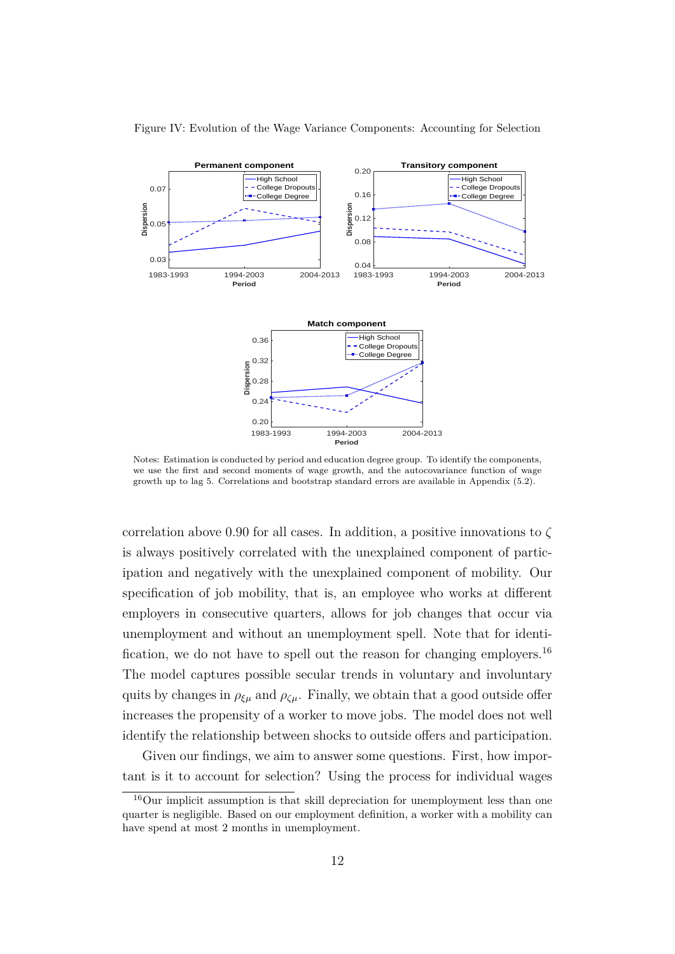

#### Figure IV: Evolution of the Wage Variance Components: Accounting for Selection

Notes: Estimation is conducted by period and education degree group. To identify the components, we use the first and second moments of wage growth, and the autocovariance function of wage growth up to lag 5. Correlations and bootstrap standard errors are available in Appendix (5.2).

correlation above 0*.*90 for all cases. In addition, a positive innovations to *ζ* is always positively correlated with the unexplained component of participation and negatively with the unexplained component of mobility. Our specification of job mobility, that is, an employee who works at different employers in consecutive quarters, allows for job changes that occur via unemployment and without an unemployment spell. Note that for identification, we do not have to spell out the reason for changing employers.<sup>16</sup> The model captures possible secular trends in voluntary and involuntary quits by changes in  $\rho_{\xi\mu}$  and  $\rho_{\zeta\mu}$ . Finally, we obtain that a good outside offer increases the propensity of a worker to move jobs. The model does not well identify the relationship between shocks to outside offers and participation.

Given our findings, we aim to answer some questions. First, how important is it to account for selection? Using the process for individual wages

<sup>16</sup>Our implicit assumption is that skill depreciation for unemployment less than one quarter is negligible. Based on our employment definition, a worker with a mobility can have spend at most 2 months in unemployment.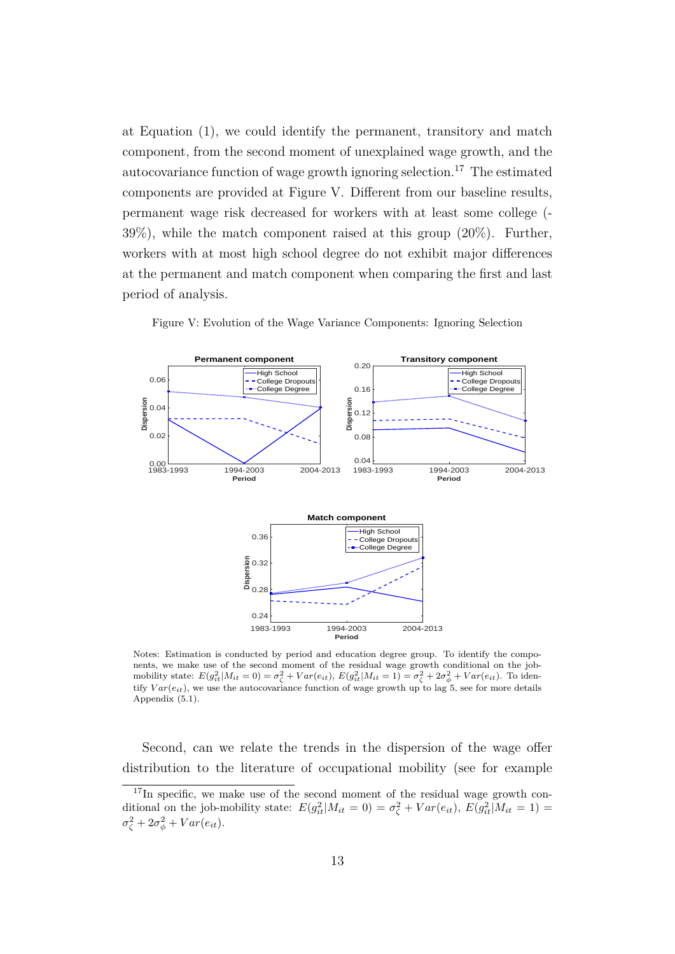at Equation (1), we could identify the permanent, transitory and match component, from the second moment of unexplained wage growth, and the autocovariance function of wage growth ignoring selection.<sup>17</sup> The estimated components are provided at Figure V. Different from our baseline results, permanent wage risk decreased for workers with at least some college (-  $39\%)$ , while the match component raised at this group  $(20\%)$ . Further, workers with at most high school degree do not exhibit major differences at the permanent and match component when comparing the first and last period of analysis.



Figure V: Evolution of the Wage Variance Components: Ignoring Selection

Notes: Estimation is conducted by period and education degree group. To identify the components, we make use of the second moment of the residual wage growth conditional on the jobmobility state:  $E(g_{it}^2|M_{it}=0) = \sigma_{\zeta}^2 + Var(e_{it}), E(g_{it}^2|M_{it}=1) = \sigma_{\zeta}^2 + 2\sigma_{\phi}^2 + Var(e_{it}).$  To identify  $Var(e_{it})$ , we use the autocovariance function of wage growth up to lag 5, see for more details Appendix (5.1).

Second, can we relate the trends in the dispersion of the wage offer distribution to the literature of occupational mobility (see for example

 $17\text{In specific},$  we make use of the second moment of the residual wage growth conditional on the job-mobility state:  $E(g_{it}^2|M_{it}=0) = \sigma_{\zeta}^2 + Var(e_{it}), E(g_{it}^2|M_{it}=1) =$  $\sigma_{\zeta}^2 + 2\sigma_{\phi}^2 + Var(e_{it}).$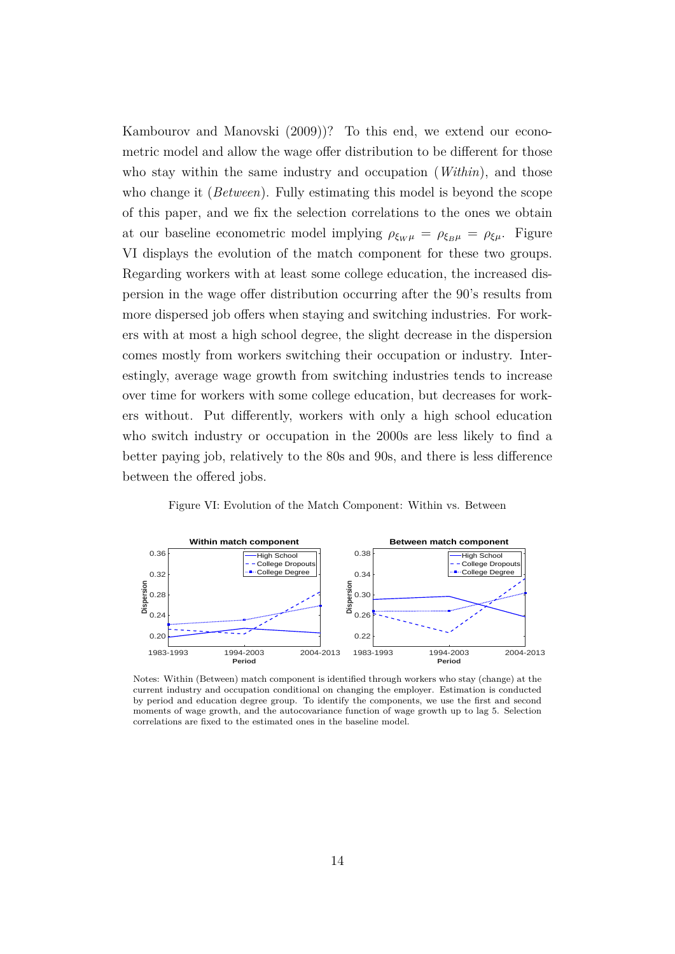Kambourov and Manovski (2009))? To this end, we extend our econometric model and allow the wage offer distribution to be different for those who stay within the same industry and occupation (*Within*), and those who change it (*Between*). Fully estimating this model is beyond the scope of this paper, and we fix the selection correlations to the ones we obtain at our baseline econometric model implying  $\rho_{\xi_W\mu} = \rho_{\xi_B\mu} = \rho_{\xi\mu}$ . Figure VI displays the evolution of the match component for these two groups. Regarding workers with at least some college education, the increased dispersion in the wage offer distribution occurring after the 90's results from more dispersed job offers when staying and switching industries. For workers with at most a high school degree, the slight decrease in the dispersion comes mostly from workers switching their occupation or industry. Interestingly, average wage growth from switching industries tends to increase over time for workers with some college education, but decreases for workers without. Put differently, workers with only a high school education who switch industry or occupation in the 2000s are less likely to find a better paying job, relatively to the 80s and 90s, and there is less difference between the offered jobs.



Figure VI: Evolution of the Match Component: Within vs. Between

Notes: Within (Between) match component is identified through workers who stay (change) at the current industry and occupation conditional on changing the employer. Estimation is conducted by period and education degree group. To identify the components, we use the first and second moments of wage growth, and the autocovariance function of wage growth up to lag 5. Selection correlations are fixed to the estimated ones in the baseline model.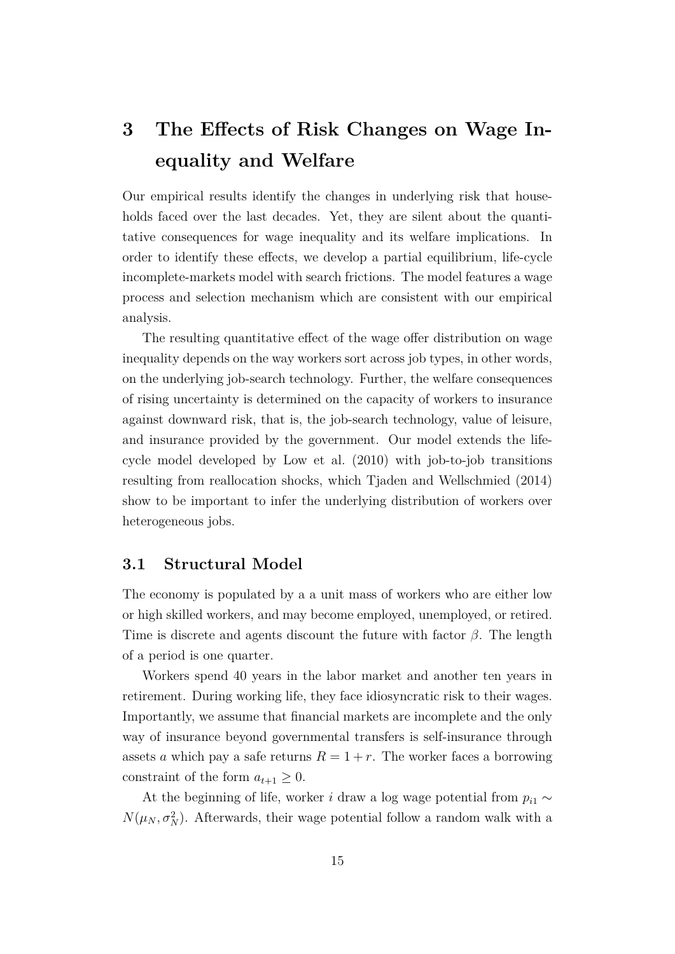# **3 The Effects of Risk Changes on Wage Inequality and Welfare**

Our empirical results identify the changes in underlying risk that households faced over the last decades. Yet, they are silent about the quantitative consequences for wage inequality and its welfare implications. In order to identify these effects, we develop a partial equilibrium, life-cycle incomplete-markets model with search frictions. The model features a wage process and selection mechanism which are consistent with our empirical analysis.

The resulting quantitative effect of the wage offer distribution on wage inequality depends on the way workers sort across job types, in other words, on the underlying job-search technology. Further, the welfare consequences of rising uncertainty is determined on the capacity of workers to insurance against downward risk, that is, the job-search technology, value of leisure, and insurance provided by the government. Our model extends the lifecycle model developed by Low et al. (2010) with job-to-job transitions resulting from reallocation shocks, which Tjaden and Wellschmied (2014) show to be important to infer the underlying distribution of workers over heterogeneous jobs.

#### **3.1 Structural Model**

The economy is populated by a a unit mass of workers who are either low or high skilled workers, and may become employed, unemployed, or retired. Time is discrete and agents discount the future with factor *β*. The length of a period is one quarter.

Workers spend 40 years in the labor market and another ten years in retirement. During working life, they face idiosyncratic risk to their wages. Importantly, we assume that financial markets are incomplete and the only way of insurance beyond governmental transfers is self-insurance through assets *a* which pay a safe returns  $R = 1 + r$ . The worker faces a borrowing constraint of the form  $a_{t+1} \geq 0$ .

At the beginning of life, worker *i* draw a log wage potential from  $p_{i1} \sim$  $N(\mu_N, \sigma_N^2)$ . Afterwards, their wage potential follow a random walk with a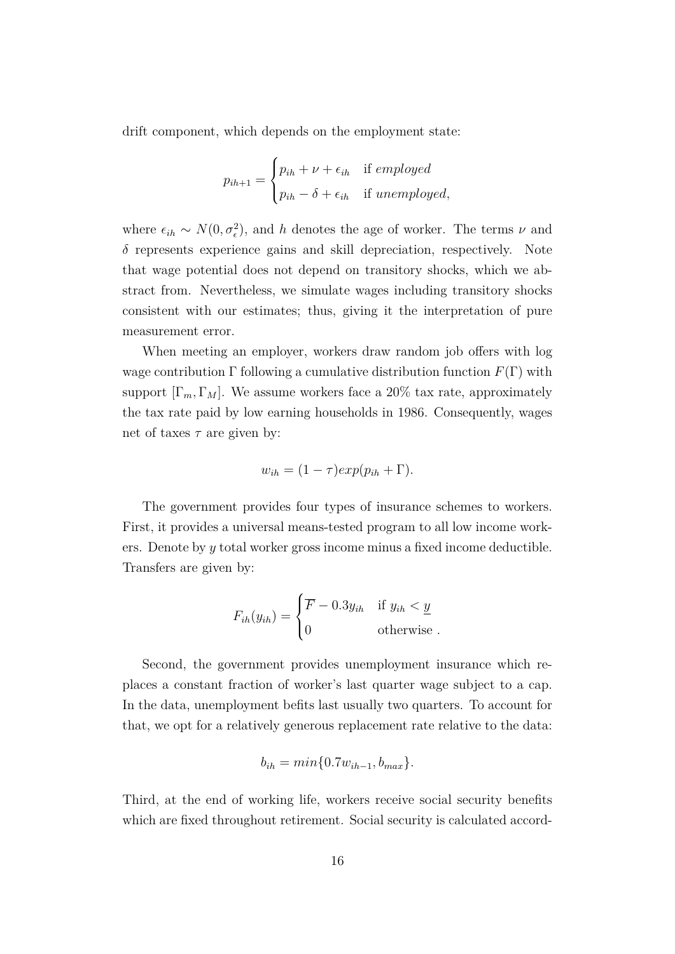drift component, which depends on the employment state:

$$
p_{ih+1} = \begin{cases} p_{ih} + \nu + \epsilon_{ih} & \text{if employed} \\ p_{ih} - \delta + \epsilon_{ih} & \text{if unemployed,} \end{cases}
$$

where  $\epsilon_{ih} \sim N(0, \sigma_{\epsilon}^2)$ , and *h* denotes the age of worker. The terms  $\nu$  and *δ* represents experience gains and skill depreciation, respectively. Note that wage potential does not depend on transitory shocks, which we abstract from. Nevertheless, we simulate wages including transitory shocks consistent with our estimates; thus, giving it the interpretation of pure measurement error.

When meeting an employer, workers draw random job offers with log wage contribution  $\Gamma$  following a cumulative distribution function  $F(\Gamma)$  with support  $[\Gamma_m, \Gamma_M]$ . We assume workers face a 20% tax rate, approximately the tax rate paid by low earning households in 1986. Consequently, wages net of taxes  $\tau$  are given by:

$$
w_{ih} = (1 - \tau)exp(p_{ih} + \Gamma).
$$

The government provides four types of insurance schemes to workers. First, it provides a universal means-tested program to all low income workers. Denote by *y* total worker gross income minus a fixed income deductible. Transfers are given by:

$$
F_{ih}(y_{ih}) = \begin{cases} \overline{F} - 0.3y_{ih} & \text{if } y_{ih} < \underline{y} \\ 0 & \text{otherwise} \end{cases}
$$

Second, the government provides unemployment insurance which replaces a constant fraction of worker's last quarter wage subject to a cap. In the data, unemployment befits last usually two quarters. To account for that, we opt for a relatively generous replacement rate relative to the data:

$$
b_{ih} = min\{0.7w_{ih-1}, b_{max}\}.
$$

Third, at the end of working life, workers receive social security benefits which are fixed throughout retirement. Social security is calculated accord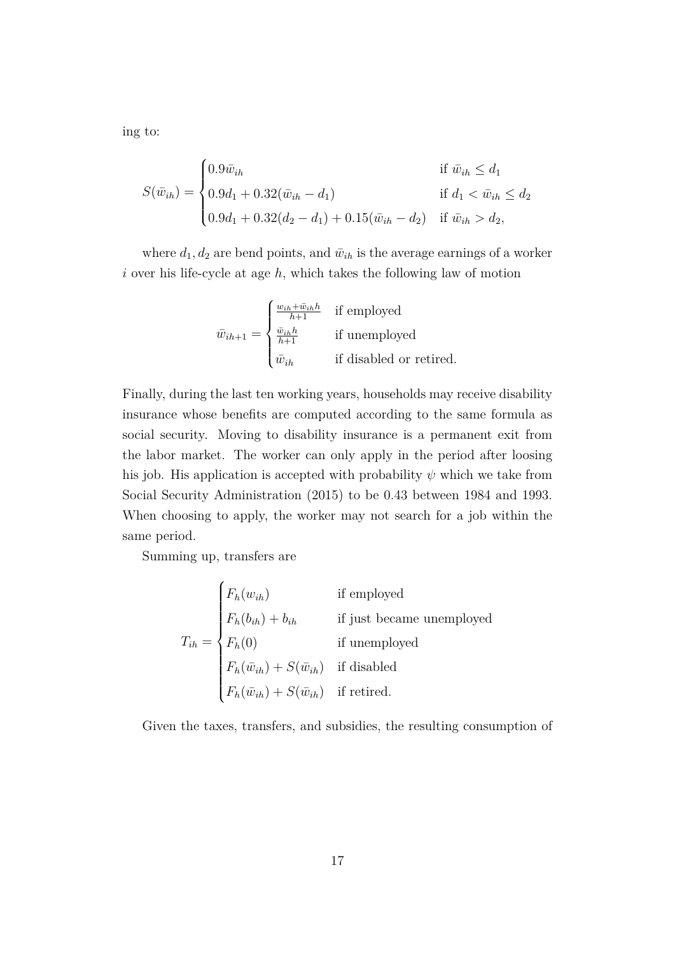ing to:

$$
S(\bar{w}_{ih}) = \begin{cases} 0.9\bar{w}_{ih} & \text{if } \bar{w}_{ih} \leq d_1 \\ 0.9d_1 + 0.32(\bar{w}_{ih} - d_1) & \text{if } d_1 < \bar{w}_{ih} \leq d_2 \\ 0.9d_1 + 0.32(d_2 - d_1) + 0.15(\bar{w}_{ih} - d_2) & \text{if } \bar{w}_{ih} > d_2, \end{cases}
$$

where  $d_1, d_2$  are bend points, and  $\bar{w}_{ih}$  is the average earnings of a worker *i* over his life-cycle at age *h*, which takes the following law of motion

$$
\bar{w}_{ih+1} = \begin{cases}\n\frac{w_{ih} + \bar{w}_{ih}h}{h+1} & \text{if employed} \\
\frac{\bar{w}_{ih}h}{h+1} & \text{if unemployed} \\
\bar{w}_{ih} & \text{if disabled or retired.} \n\end{cases}
$$

Finally, during the last ten working years, households may receive disability insurance whose benefits are computed according to the same formula as social security. Moving to disability insurance is a permanent exit from the labor market. The worker can only apply in the period after loosing his job. His application is accepted with probability  $\psi$  which we take from Social Security Administration (2015) to be 0.43 between 1984 and 1993. When choosing to apply, the worker may not search for a job within the same period.

Summing up, transfers are

 $\overline{\phantom{a}}$ 

$$
T_{ih} = \begin{cases} F_h(w_{ih}) & \text{if employed} \\ F_h(b_{ih}) + b_{ih} & \text{if just became unemployed} \\ F_h(0) & \text{if unemployed} \\ F_h(\bar{w}_{ih}) + S(\bar{w}_{ih}) & \text{if disabled} \\ F_h(\bar{w}_{ih}) + S(\bar{w}_{ih}) & \text{if retired.} \end{cases}
$$

Given the taxes, transfers, and subsidies, the resulting consumption of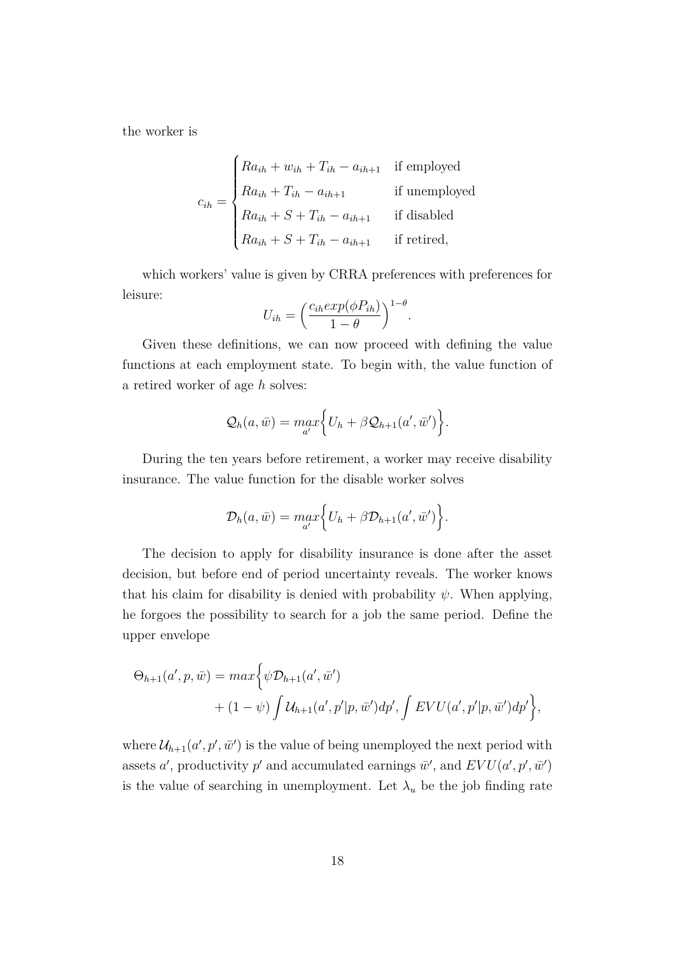the worker is

$$
c_{ih} = \begin{cases} Ra_{ih} + w_{ih} + T_{ih} - a_{ih+1} & \text{if employed} \\ Ra_{ih} + T_{ih} - a_{ih+1} & \text{if unemployed} \\ Ra_{ih} + S + T_{ih} - a_{ih+1} & \text{if disabled} \\ Ra_{ih} + S + T_{ih} - a_{ih+1} & \text{if retired,} \end{cases}
$$

which workers' value is given by CRRA preferences with preferences for leisure:

$$
U_{ih} = \left(\frac{c_{ih}exp(\phi P_{ih})}{1-\theta}\right)^{1-\theta}.
$$

Given these definitions, we can now proceed with defining the value functions at each employment state. To begin with, the value function of a retired worker of age *h* solves:

$$
Q_h(a,\bar{w}) = \max_{a'} \Big\{ U_h + \beta Q_{h+1}(a',\bar{w}') \Big\}.
$$

During the ten years before retirement, a worker may receive disability insurance. The value function for the disable worker solves

$$
\mathcal{D}_h(a,\bar{w}) = \max_{a'} \Big\{ U_h + \beta \mathcal{D}_{h+1}(a',\bar{w}') \Big\}.
$$

The decision to apply for disability insurance is done after the asset decision, but before end of period uncertainty reveals. The worker knows that his claim for disability is denied with probability  $\psi$ . When applying, he forgoes the possibility to search for a job the same period. Define the upper envelope

$$
\Theta_{h+1}(a',p,\bar{w}) = max \Big\{ \psi \mathcal{D}_{h+1}(a',\bar{w}') + (1-\psi) \int \mathcal{U}_{h+1}(a',p'|p,\bar{w}') dp', \int EVU(a',p'|p,\bar{w}') dp' \Big\},\,
$$

where  $\mathcal{U}_{h+1}(a', p', \bar{w}')$  is the value of being unemployed the next period with assets *a*<sup>'</sup>, productivity *p*<sup>'</sup> and accumulated earnings  $\bar{w}$ <sup>'</sup>, and  $EVU(a', p', \bar{w}')$ is the value of searching in unemployment. Let  $\lambda_u$  be the job finding rate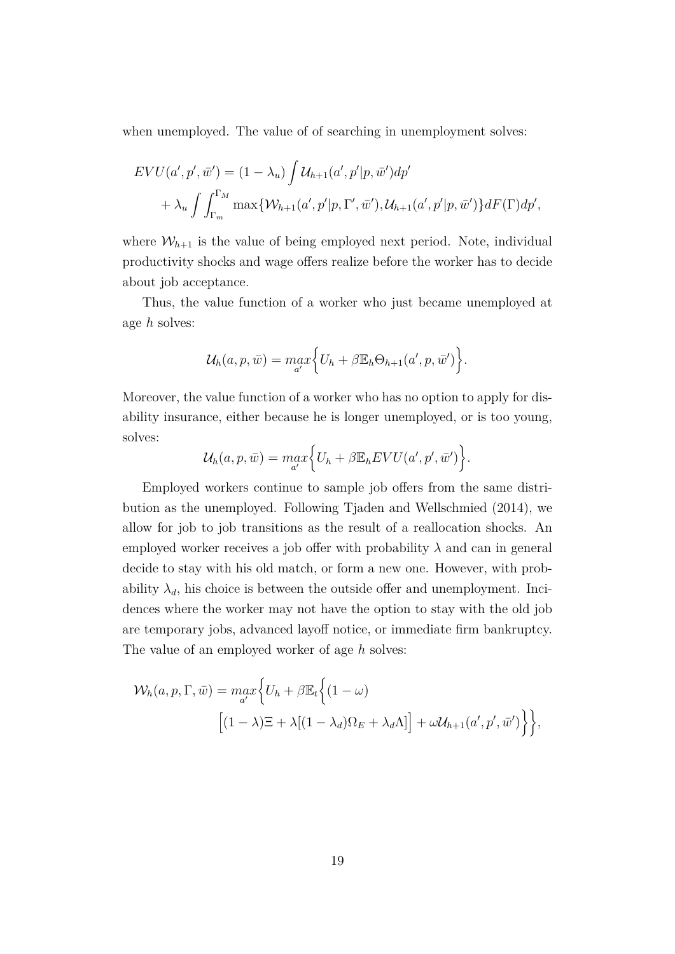when unemployed. The value of of searching in unemployment solves:

$$
EVU(a',p',\bar{w}') = (1 - \lambda_u) \int \mathcal{U}_{h+1}(a',p'|p,\bar{w}') dp'
$$
  
+  $\lambda_u \int \int_{\Gamma_m}^{\Gamma_M} \max \{ \mathcal{W}_{h+1}(a',p'|p,\Gamma',\bar{w}'), \mathcal{U}_{h+1}(a',p'|p,\bar{w}') \} dF(\Gamma) dp',$ 

where  $W_{h+1}$  is the value of being employed next period. Note, individual productivity shocks and wage offers realize before the worker has to decide about job acceptance.

Thus, the value function of a worker who just became unemployed at age *h* solves:

$$
\mathcal{U}_h(a,p,\bar{w}) = \max_{a'} \Big\{ U_h + \beta \mathbb{E}_h \Theta_{h+1}(a',p,\bar{w}') \Big\}.
$$

Moreover, the value function of a worker who has no option to apply for disability insurance, either because he is longer unemployed, or is too young, solves:

$$
\mathcal{U}_h(a,p,\bar{w}) = \max_{a'} \Big\{ U_h + \beta \mathbb{E}_h EVU(a',p',\bar{w}') \Big\}.
$$

Employed workers continue to sample job offers from the same distribution as the unemployed. Following Tjaden and Wellschmied (2014), we allow for job to job transitions as the result of a reallocation shocks. An employed worker receives a job offer with probability  $\lambda$  and can in general decide to stay with his old match, or form a new one. However, with probability  $\lambda_d$ , his choice is between the outside offer and unemployment. Incidences where the worker may not have the option to stay with the old job are temporary jobs, advanced layoff notice, or immediate firm bankruptcy. The value of an employed worker of age *h* solves:

$$
\mathcal{W}_h(a, p, \Gamma, \bar{w}) = \max_{a'} \Biggl\{ U_h + \beta \mathbb{E}_t \Biggl\{ (1 - \omega) \Biggr\}
$$

$$
\Bigl[ (1 - \lambda) \Xi + \lambda [(1 - \lambda_d) \Omega_E + \lambda_d \Lambda] \Bigr] + \omega \mathcal{U}_{h+1}(a', p', \bar{w}') \Biggr\} \Biggr\},
$$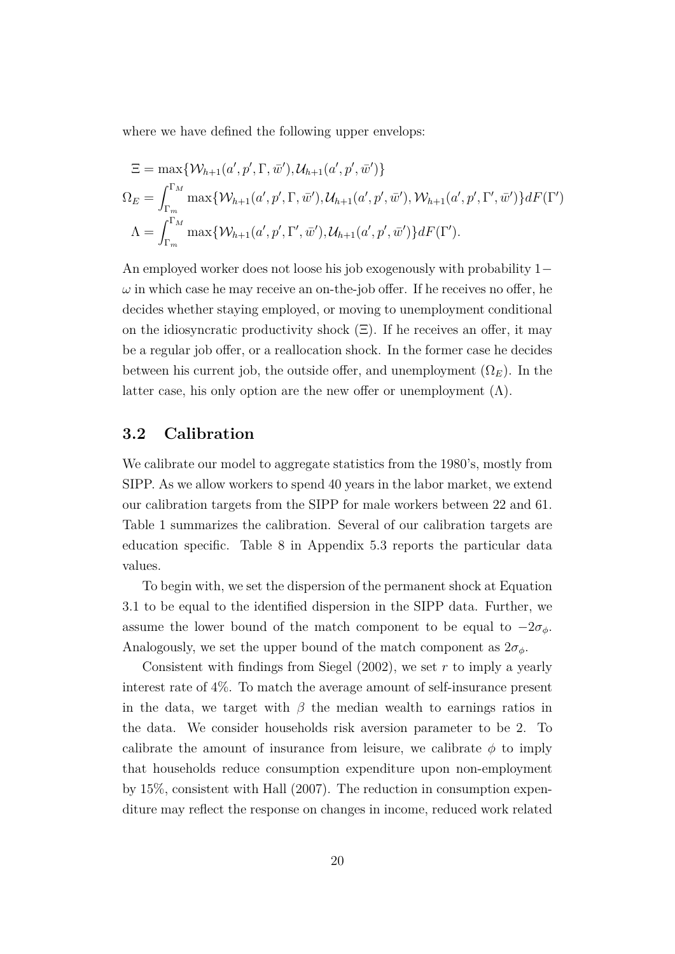where we have defined the following upper envelops:

$$
\begin{aligned}\n\Xi &= \max \{ \mathcal{W}_{h+1}(a', p', \Gamma, \bar{w}'), \mathcal{U}_{h+1}(a', p', \bar{w}') \} \\
\Omega_E &= \int_{\Gamma_m}^{\Gamma_M} \max \{ \mathcal{W}_{h+1}(a', p', \Gamma, \bar{w}'), \mathcal{U}_{h+1}(a', p', \bar{w}'), \mathcal{W}_{h+1}(a', p', \Gamma', \bar{w}') \} dF(\Gamma') \\
\Lambda &= \int_{\Gamma_m}^{\Gamma_M} \max \{ \mathcal{W}_{h+1}(a', p', \Gamma', \bar{w}'), \mathcal{U}_{h+1}(a', p', \bar{w}') \} dF(\Gamma').\n\end{aligned}
$$

An employed worker does not loose his job exogenously with probability 1− *ω* in which case he may receive an on-the-job offer. If he receives no offer, he decides whether staying employed, or moving to unemployment conditional on the idiosyncratic productivity shock  $(\Xi)$ . If he receives an offer, it may be a regular job offer, or a reallocation shock. In the former case he decides between his current job, the outside offer, and unemployment  $(\Omega_E)$ . In the latter case, his only option are the new offer or unemployment  $(\Lambda)$ .

#### **3.2 Calibration**

We calibrate our model to aggregate statistics from the 1980's, mostly from SIPP. As we allow workers to spend 40 years in the labor market, we extend our calibration targets from the SIPP for male workers between 22 and 61. Table 1 summarizes the calibration. Several of our calibration targets are education specific. Table 8 in Appendix 5.3 reports the particular data values.

To begin with, we set the dispersion of the permanent shock at Equation 3.1 to be equal to the identified dispersion in the SIPP data. Further, we assume the lower bound of the match component to be equal to  $-2\sigma_{\phi}$ . Analogously, we set the upper bound of the match component as  $2\sigma_{\phi}$ .

Consistent with findings from Siegel (2002), we set *r* to imply a yearly interest rate of 4%. To match the average amount of self-insurance present in the data, we target with  $\beta$  the median wealth to earnings ratios in the data. We consider households risk aversion parameter to be 2. To calibrate the amount of insurance from leisure, we calibrate  $\phi$  to imply that households reduce consumption expenditure upon non-employment by 15%, consistent with Hall (2007). The reduction in consumption expenditure may reflect the response on changes in income, reduced work related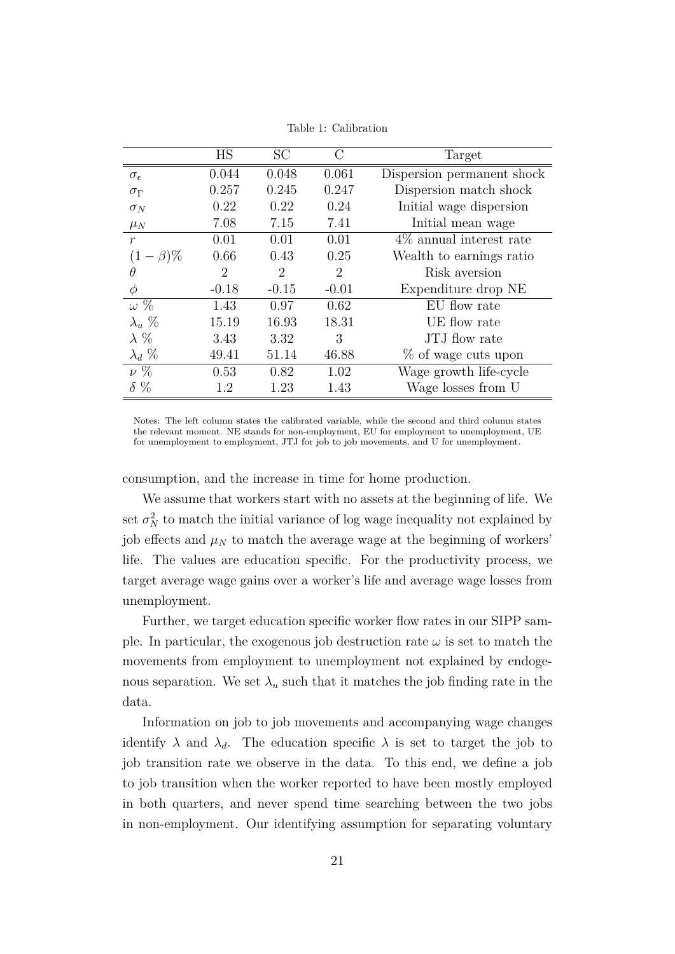|                     | <b>HS</b> | SC      | C       | Target                     |
|---------------------|-----------|---------|---------|----------------------------|
| $\sigma_{\epsilon}$ | 0.044     | 0.048   | 0.061   | Dispersion permanent shock |
| $\sigma_{\Gamma}$   | 0.257     | 0.245   | 0.247   | Dispersion match shock     |
| $\sigma_N$          | 0.22      | 0.22    | 0.24    | Initial wage dispersion    |
| $\mu_N$             | 7.08      | 7.15    | 7.41    | Initial mean wage          |
| $\mathcal{r}$       | 0.01      | 0.01    | 0.01    | $4\%$ annual interest rate |
| $(1-\beta)\%$       | 0.66      | 0.43    | 0.25    | Wealth to earnings ratio   |
| θ                   | 2         | 2       | 2       | Risk aversion              |
| $\phi$              | $-0.18$   | $-0.15$ | $-0.01$ | Expenditure drop NE        |
| $\omega\%$          | 1.43      | 0.97    | 0.62    | EU flow rate               |
| $\lambda_u$ %       | 15.19     | 16.93   | 18.31   | UE flow rate               |
| $\lambda$ %         | 3.43      | 3.32    | 3       | JTJ flow rate              |
| $\lambda_d \ \%$    | 49.41     | 51.14   | 46.88   | % of wage cuts upon        |
| $\nu\%$             | 0.53      | 0.82    | 1.02    | Wage growth life-cycle     |
| $\delta \%$         | 1.2       | 1.23    | 1.43    | Wage losses from U         |

Table 1: Calibration

Notes: The left column states the calibrated variable, while the second and third column states the relevant moment. NE stands for non-employment, EU for employment to unemployment, UE for unemployment to employment, JTJ for job to job movements, and U for unemployment.

consumption, and the increase in time for home production.

We assume that workers start with no assets at the beginning of life. We set  $\sigma_N^2$  to match the initial variance of log wage inequality not explained by job effects and  $\mu_N$  to match the average wage at the beginning of workers' life. The values are education specific. For the productivity process, we target average wage gains over a worker's life and average wage losses from unemployment.

Further, we target education specific worker flow rates in our SIPP sample. In particular, the exogenous job destruction rate  $\omega$  is set to match the movements from employment to unemployment not explained by endogenous separation. We set  $\lambda_u$  such that it matches the job finding rate in the data.

Information on job to job movements and accompanying wage changes identify  $\lambda$  and  $\lambda_d$ . The education specific  $\lambda$  is set to target the job to job transition rate we observe in the data. To this end, we define a job to job transition when the worker reported to have been mostly employed in both quarters, and never spend time searching between the two jobs in non-employment. Our identifying assumption for separating voluntary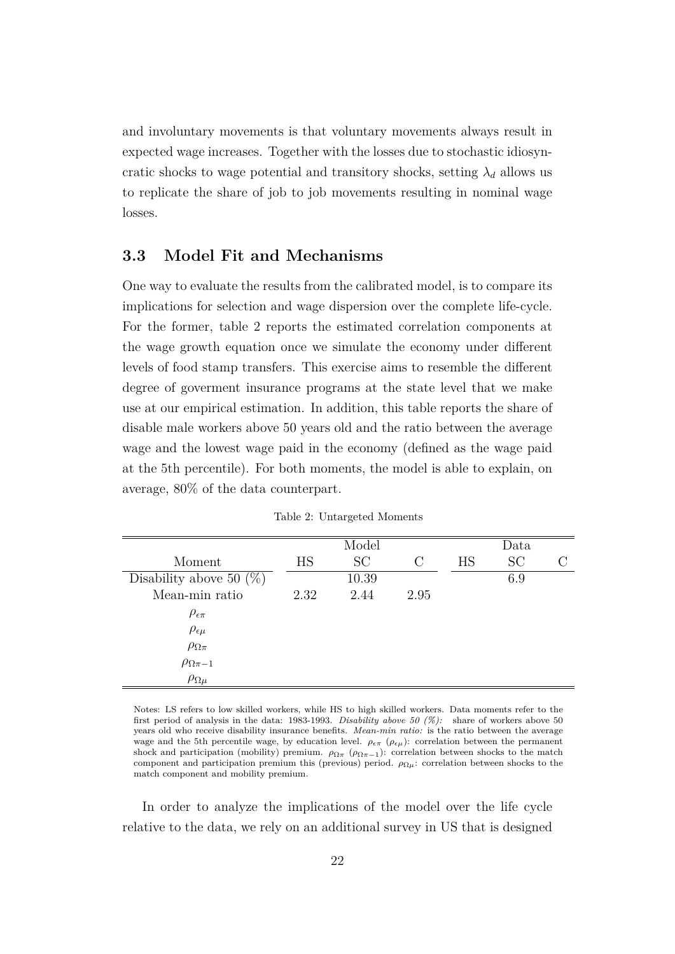and involuntary movements is that voluntary movements always result in expected wage increases. Together with the losses due to stochastic idiosyncratic shocks to wage potential and transitory shocks, setting  $\lambda_d$  allows us to replicate the share of job to job movements resulting in nominal wage losses.

### **3.3 Model Fit and Mechanisms**

One way to evaluate the results from the calibrated model, is to compare its implications for selection and wage dispersion over the complete life-cycle. For the former, table 2 reports the estimated correlation components at the wage growth equation once we simulate the economy under different levels of food stamp transfers. This exercise aims to resemble the different degree of goverment insurance programs at the state level that we make use at our empirical estimation. In addition, this table reports the share of disable male workers above 50 years old and the ratio between the average wage and the lowest wage paid in the economy (defined as the wage paid at the 5th percentile). For both moments, the model is able to explain, on average, 80% of the data counterpart.

|                            |      | Model     |               |    | Data |  |
|----------------------------|------|-----------|---------------|----|------|--|
| Moment                     | HS   | <b>SC</b> | $\mathcal{C}$ | HS | SC   |  |
| Disability above 50 $(\%)$ |      | 10.39     |               |    | 6.9  |  |
| Mean-min ratio             | 2.32 | 2.44      | 2.95          |    |      |  |
| $\rho_{\epsilon\pi}$       |      |           |               |    |      |  |
| $\rho_{\epsilon\mu}$       |      |           |               |    |      |  |
| $\rho_{\Omega\pi}$         |      |           |               |    |      |  |
| $\rho_{\Omega_{\pi-1}}$    |      |           |               |    |      |  |
| $\rho_{\Omega\mu}$         |      |           |               |    |      |  |

Table 2: Untargeted Moments

Notes: LS refers to low skilled workers, while HS to high skilled workers. Data moments refer to the first period of analysis in the data: 1983-1993. *Disability above 50 (%):* share of workers above 50 years old who receive disability insurance benefits. *Mean-min ratio:* is the ratio between the average wage and the 5th percentile wage, by education level.  $\rho_{\epsilon\pi}$  ( $\rho_{\epsilon\mu}$ ): correlation between the permanent shock and participation (mobility) premium.  $\rho_{\Omega\pi}$  ( $\rho_{\Omega\pi-1}$ ): correlation between shocks to the match component and participation premium this (previous) period.  $\rho_{\Omega}$ <sub>*u*</sub>: correlation between shocks to the match component and mobility premium.

In order to analyze the implications of the model over the life cycle relative to the data, we rely on an additional survey in US that is designed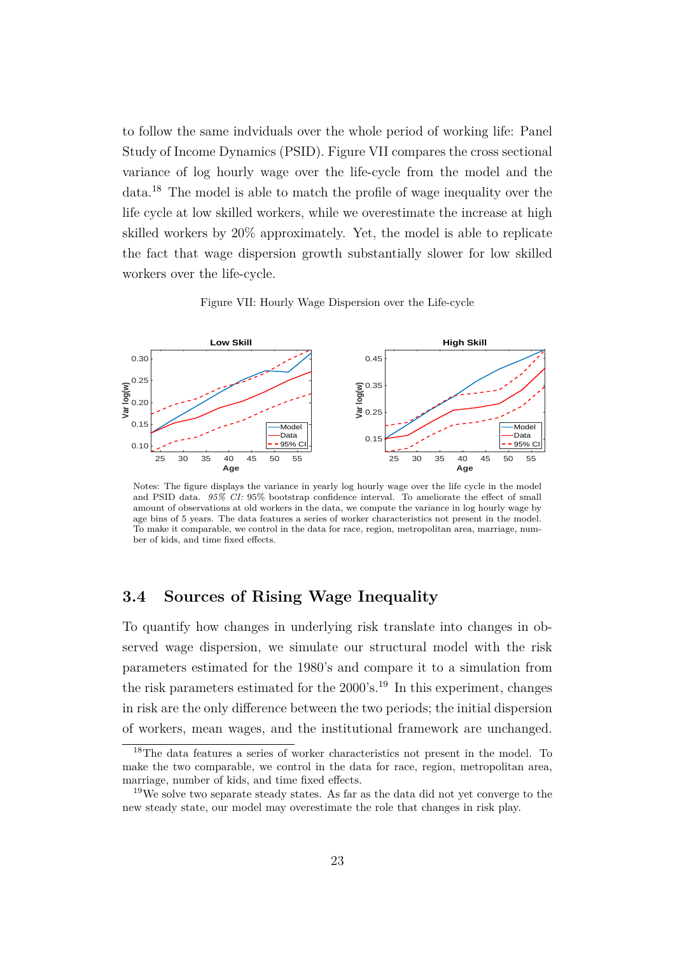to follow the same indviduals over the whole period of working life: Panel Study of Income Dynamics (PSID). Figure VII compares the cross sectional variance of log hourly wage over the life-cycle from the model and the data.<sup>18</sup> The model is able to match the profile of wage inequality over the life cycle at low skilled workers, while we overestimate the increase at high skilled workers by 20% approximately. Yet, the model is able to replicate the fact that wage dispersion growth substantially slower for low skilled workers over the life-cycle.

Figure VII: Hourly Wage Dispersion over the Life-cycle



Notes: The figure displays the variance in yearly log hourly wage over the life cycle in the model and PSID data. *95% CI:* 95% bootstrap confidence interval. To ameliorate the effect of small amount of observations at old workers in the data, we compute the variance in log hourly wage by age bins of 5 years. The data features a series of worker characteristics not present in the model. To make it comparable, we control in the data for race, region, metropolitan area, marriage, number of kids, and time fixed effects.

#### **3.4 Sources of Rising Wage Inequality**

To quantify how changes in underlying risk translate into changes in observed wage dispersion, we simulate our structural model with the risk parameters estimated for the 1980's and compare it to a simulation from the risk parameters estimated for the  $2000$ 's.<sup>19</sup> In this experiment, changes in risk are the only difference between the two periods; the initial dispersion of workers, mean wages, and the institutional framework are unchanged.

<sup>18</sup>The data features a series of worker characteristics not present in the model. To make the two comparable, we control in the data for race, region, metropolitan area, marriage, number of kids, and time fixed effects.

<sup>&</sup>lt;sup>19</sup>We solve two separate steady states. As far as the data did not yet converge to the new steady state, our model may overestimate the role that changes in risk play.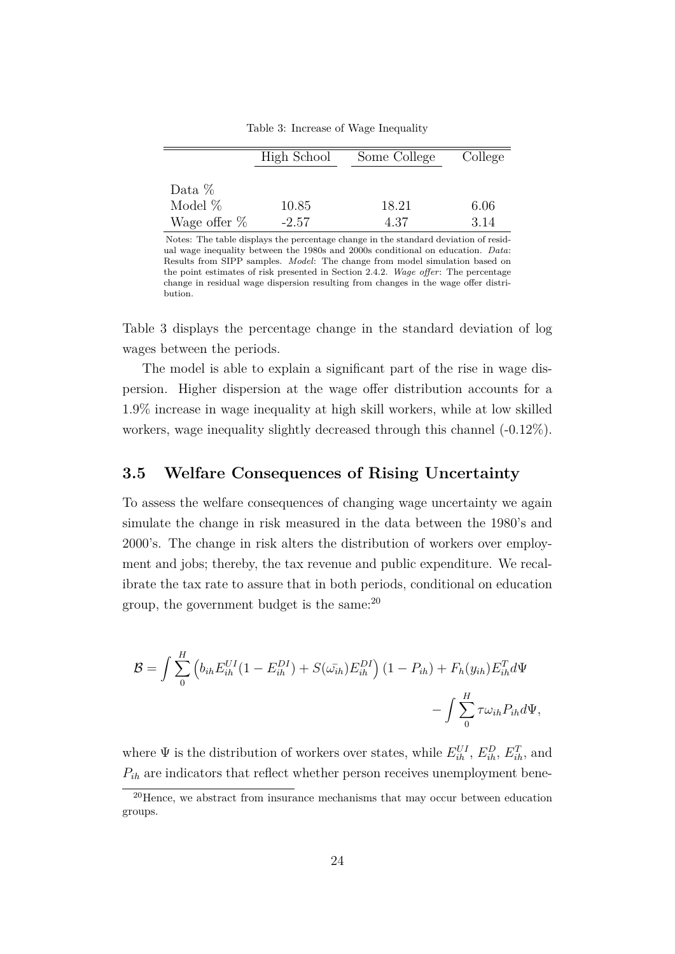|                 | High School | Some College | College |
|-----------------|-------------|--------------|---------|
| Data $\%$       |             |              |         |
| Model $%$       | 10.85       | 18.21        | 6.06    |
| Wage offer $\%$ | $-2.57$     | 4.37         | 3.14    |

Table 3: Increase of Wage Inequality

 $\bar{z}$ 

Notes: The table displays the percentage change in the standard deviation of residual wage inequality between the 1980s and 2000s conditional on education. *Data*: Results from SIPP samples. *Model*: The change from model simulation based on the point estimates of risk presented in Section 2.4.2. *Wage offer*: The percentage change in residual wage dispersion resulting from changes in the wage offer distribution.

Table 3 displays the percentage change in the standard deviation of log wages between the periods.

The model is able to explain a significant part of the rise in wage dispersion. Higher dispersion at the wage offer distribution accounts for a 1.9% increase in wage inequality at high skill workers, while at low skilled workers, wage inequality slightly decreased through this channel (-0.12%).

#### **3.5 Welfare Consequences of Rising Uncertainty**

To assess the welfare consequences of changing wage uncertainty we again simulate the change in risk measured in the data between the 1980's and 2000's. The change in risk alters the distribution of workers over employment and jobs; thereby, the tax revenue and public expenditure. We recalibrate the tax rate to assure that in both periods, conditional on education group, the government budget is the same: $^{20}$ 

$$
\mathcal{B} = \int \sum_{0}^{H} \left( b_{ih} E_{ih}^{UI} (1 - E_{ih}^{DI}) + S(\bar{\omega_{ih}}) E_{ih}^{DI} \right) (1 - P_{ih}) + F_h(y_{ih}) E_{ih}^T d\Psi
$$

$$
- \int \sum_{0}^{H} \tau \omega_{ih} P_{ih} d\Psi,
$$

where  $\Psi$  is the distribution of workers over states, while  $E_{ih}^{UI}$ ,  $E_{ih}^{D}$ ,  $E_{ih}^{T}$ , and  $P_{ih}$  are indicators that reflect whether person receives unemployment bene-

<sup>20</sup>Hence, we abstract from insurance mechanisms that may occur between education groups.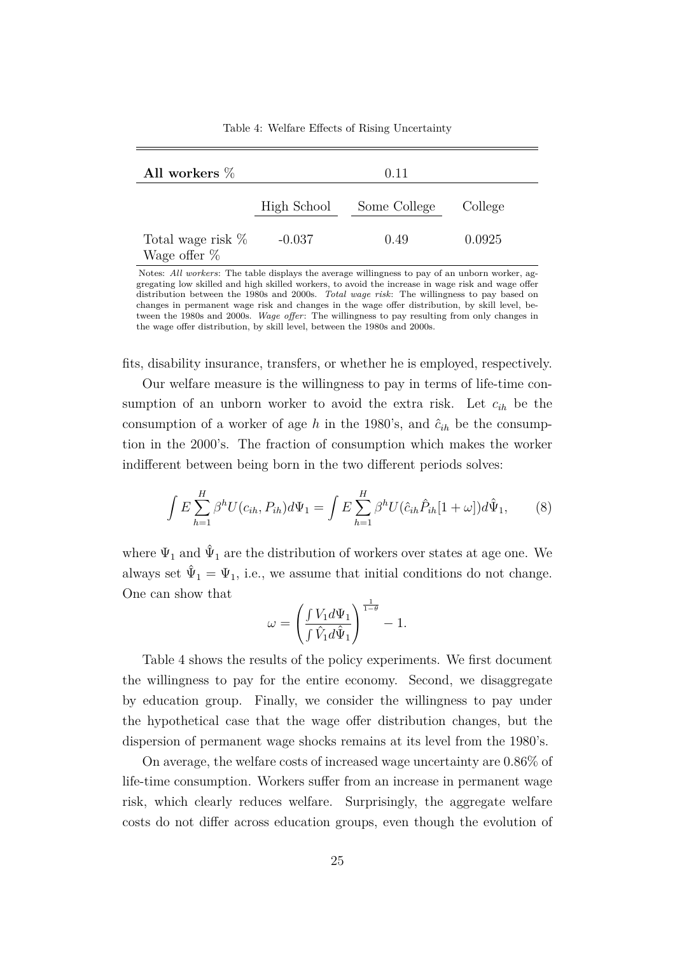| All workers $\%$                       |          | 0.11                     |         |
|----------------------------------------|----------|--------------------------|---------|
|                                        |          | High School Some College | College |
| Total wage risk $\%$<br>Wage offer $%$ | $-0.037$ | 0.49                     | 0.0925  |

Table 4: Welfare Effects of Rising Uncertainty

Notes: *All workers*: The table displays the average willingness to pay of an unborn worker, aggregating low skilled and high skilled workers, to avoid the increase in wage risk and wage offer distribution between the 1980s and 2000s. *Total wage risk*: The willingness to pay based on changes in permanent wage risk and changes in the wage offer distribution, by skill level, between the 1980s and 2000s. *Wage offer*: The willingness to pay resulting from only changes in the wage offer distribution, by skill level, between the 1980s and 2000s.

fits, disability insurance, transfers, or whether he is employed, respectively.

Our welfare measure is the willingness to pay in terms of life-time consumption of an unborn worker to avoid the extra risk. Let *cih* be the consumption of a worker of age *h* in the 1980's, and  $\hat{c}_{ih}$  be the consumption in the 2000's. The fraction of consumption which makes the worker indifferent between being born in the two different periods solves:

$$
\int E \sum_{h=1}^{H} \beta^h U(c_{ih}, P_{ih}) d\Psi_1 = \int E \sum_{h=1}^{H} \beta^h U(\hat{c}_{ih}\hat{P}_{ih}[1+\omega]) d\hat{\Psi}_1, \tag{8}
$$

where  $\Psi_1$  and  $\hat{\Psi}_1$  are the distribution of workers over states at age one. We always set  $\hat{\Psi}_1 = \Psi_1$ , i.e., we assume that initial conditions do not change. One can show that

$$
\omega=\left(\frac{\int V_1 d\Psi_1}{\int \hat{V}_1 d\hat{\Psi}_1}\right)^{\frac{1}{1-\theta}}-1.
$$

Table 4 shows the results of the policy experiments. We first document the willingness to pay for the entire economy. Second, we disaggregate by education group. Finally, we consider the willingness to pay under the hypothetical case that the wage offer distribution changes, but the dispersion of permanent wage shocks remains at its level from the 1980's.

On average, the welfare costs of increased wage uncertainty are 0.86% of life-time consumption. Workers suffer from an increase in permanent wage risk, which clearly reduces welfare. Surprisingly, the aggregate welfare costs do not differ across education groups, even though the evolution of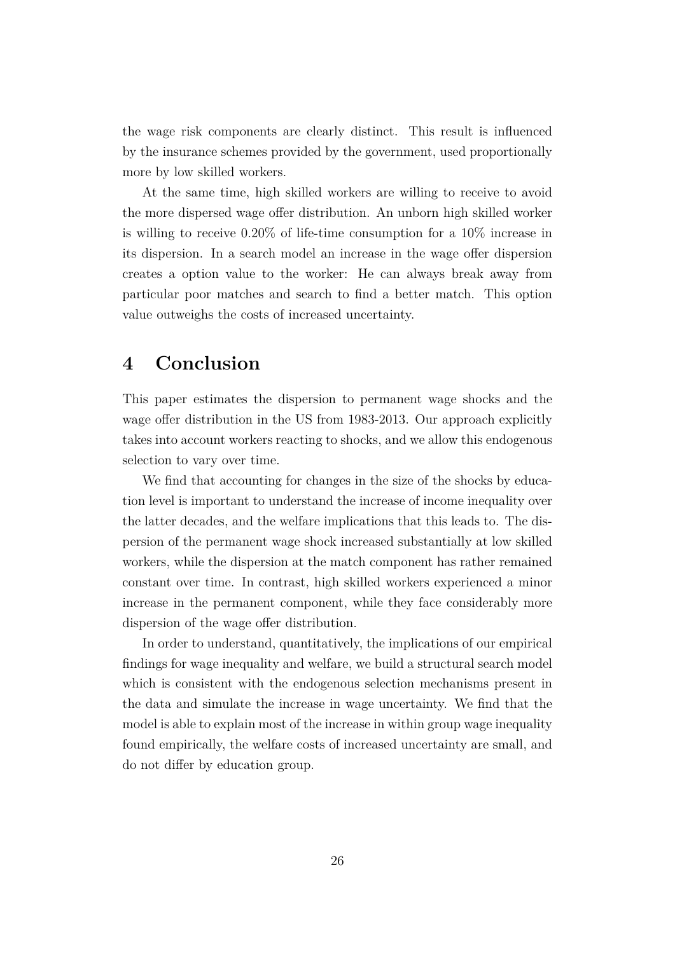the wage risk components are clearly distinct. This result is influenced by the insurance schemes provided by the government, used proportionally more by low skilled workers.

At the same time, high skilled workers are willing to receive to avoid the more dispersed wage offer distribution. An unborn high skilled worker is willing to receive 0.20% of life-time consumption for a 10% increase in its dispersion. In a search model an increase in the wage offer dispersion creates a option value to the worker: He can always break away from particular poor matches and search to find a better match. This option value outweighs the costs of increased uncertainty.

## **4 Conclusion**

This paper estimates the dispersion to permanent wage shocks and the wage offer distribution in the US from 1983-2013. Our approach explicitly takes into account workers reacting to shocks, and we allow this endogenous selection to vary over time.

We find that accounting for changes in the size of the shocks by education level is important to understand the increase of income inequality over the latter decades, and the welfare implications that this leads to. The dispersion of the permanent wage shock increased substantially at low skilled workers, while the dispersion at the match component has rather remained constant over time. In contrast, high skilled workers experienced a minor increase in the permanent component, while they face considerably more dispersion of the wage offer distribution.

In order to understand, quantitatively, the implications of our empirical findings for wage inequality and welfare, we build a structural search model which is consistent with the endogenous selection mechanisms present in the data and simulate the increase in wage uncertainty. We find that the model is able to explain most of the increase in within group wage inequality found empirically, the welfare costs of increased uncertainty are small, and do not differ by education group.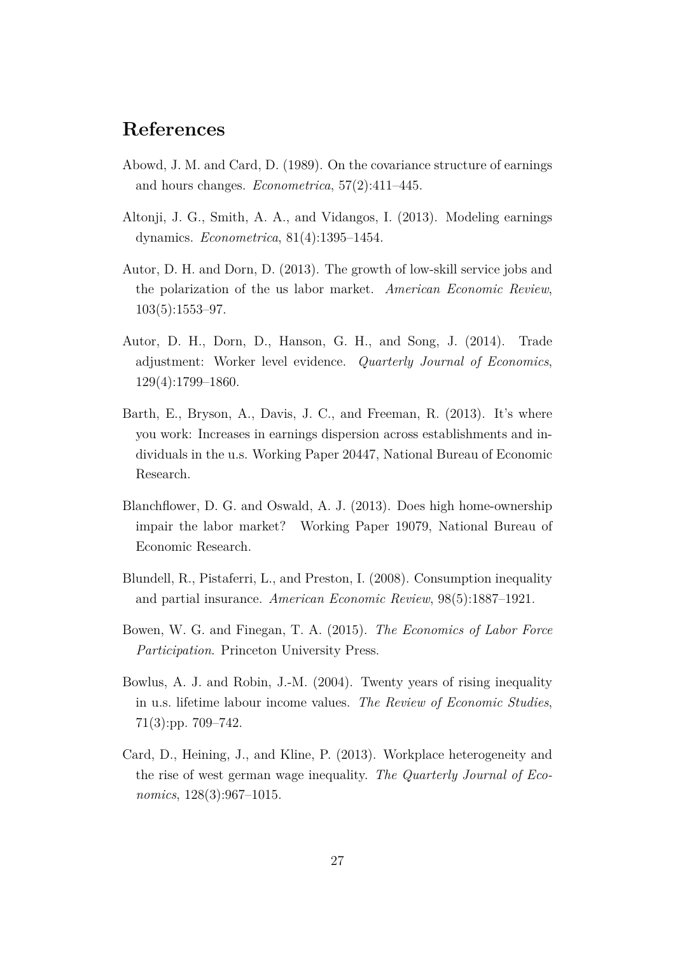# **References**

- Abowd, J. M. and Card, D. (1989). On the covariance structure of earnings and hours changes. *Econometrica*, 57(2):411–445.
- Altonji, J. G., Smith, A. A., and Vidangos, I. (2013). Modeling earnings dynamics. *Econometrica*, 81(4):1395–1454.
- Autor, D. H. and Dorn, D. (2013). The growth of low-skill service jobs and the polarization of the us labor market. *American Economic Review*, 103(5):1553–97.
- Autor, D. H., Dorn, D., Hanson, G. H., and Song, J. (2014). Trade adjustment: Worker level evidence. *Quarterly Journal of Economics*, 129(4):1799–1860.
- Barth, E., Bryson, A., Davis, J. C., and Freeman, R. (2013). It's where you work: Increases in earnings dispersion across establishments and individuals in the u.s. Working Paper 20447, National Bureau of Economic Research.
- Blanchflower, D. G. and Oswald, A. J. (2013). Does high home-ownership impair the labor market? Working Paper 19079, National Bureau of Economic Research.
- Blundell, R., Pistaferri, L., and Preston, I. (2008). Consumption inequality and partial insurance. *American Economic Review*, 98(5):1887–1921.
- Bowen, W. G. and Finegan, T. A. (2015). *The Economics of Labor Force Participation*. Princeton University Press.
- Bowlus, A. J. and Robin, J.-M. (2004). Twenty years of rising inequality in u.s. lifetime labour income values. *The Review of Economic Studies*, 71(3):pp. 709–742.
- Card, D., Heining, J., and Kline, P. (2013). Workplace heterogeneity and the rise of west german wage inequality. *The Quarterly Journal of Economics*, 128(3):967–1015.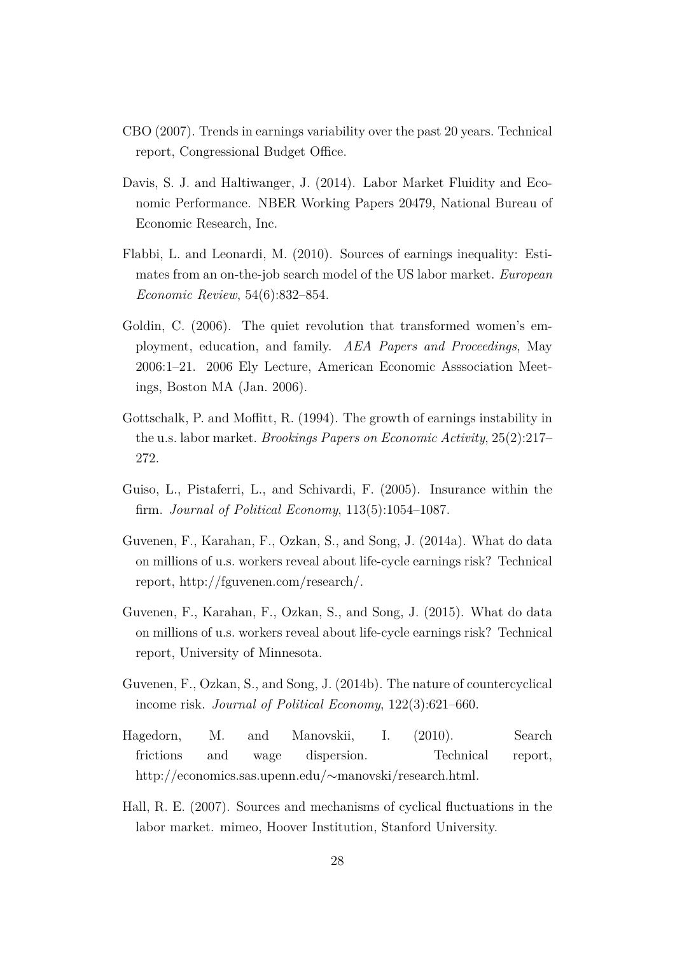- CBO (2007). Trends in earnings variability over the past 20 years. Technical report, Congressional Budget Office.
- Davis, S. J. and Haltiwanger, J. (2014). Labor Market Fluidity and Economic Performance. NBER Working Papers 20479, National Bureau of Economic Research, Inc.
- Flabbi, L. and Leonardi, M. (2010). Sources of earnings inequality: Estimates from an on-the-job search model of the US labor market. *European Economic Review*, 54(6):832–854.
- Goldin, C. (2006). The quiet revolution that transformed women's employment, education, and family. *AEA Papers and Proceedings*, May 2006:1–21. 2006 Ely Lecture, American Economic Asssociation Meetings, Boston MA (Jan. 2006).
- Gottschalk, P. and Moffitt, R. (1994). The growth of earnings instability in the u.s. labor market. *Brookings Papers on Economic Activity*, 25(2):217– 272.
- Guiso, L., Pistaferri, L., and Schivardi, F. (2005). Insurance within the firm. *Journal of Political Economy*, 113(5):1054–1087.
- Guvenen, F., Karahan, F., Ozkan, S., and Song, J. (2014a). What do data on millions of u.s. workers reveal about life-cycle earnings risk? Technical report, http://fguvenen.com/research/.
- Guvenen, F., Karahan, F., Ozkan, S., and Song, J. (2015). What do data on millions of u.s. workers reveal about life-cycle earnings risk? Technical report, University of Minnesota.
- Guvenen, F., Ozkan, S., and Song, J. (2014b). The nature of countercyclical income risk. *Journal of Political Economy*, 122(3):621–660.
- Hagedorn, M. and Manovskii, I. (2010). Search frictions and wage dispersion. Technical report, http://economics.sas.upenn.edu/∼manovski/research.html.
- Hall, R. E. (2007). Sources and mechanisms of cyclical fluctuations in the labor market. mimeo, Hoover Institution, Stanford University.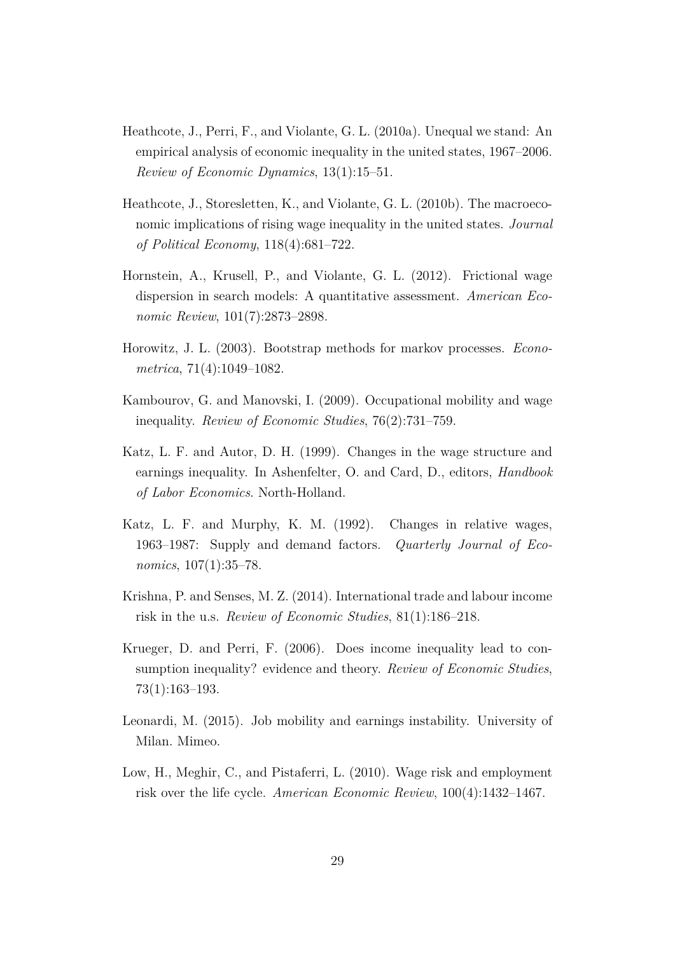- Heathcote, J., Perri, F., and Violante, G. L. (2010a). Unequal we stand: An empirical analysis of economic inequality in the united states, 1967–2006. *Review of Economic Dynamics*, 13(1):15–51.
- Heathcote, J., Storesletten, K., and Violante, G. L. (2010b). The macroeconomic implications of rising wage inequality in the united states. *Journal of Political Economy*, 118(4):681–722.
- Hornstein, A., Krusell, P., and Violante, G. L. (2012). Frictional wage dispersion in search models: A quantitative assessment. *American Economic Review*, 101(7):2873–2898.
- Horowitz, J. L. (2003). Bootstrap methods for markov processes. *Econometrica*, 71(4):1049–1082.
- Kambourov, G. and Manovski, I. (2009). Occupational mobility and wage inequality. *Review of Economic Studies*, 76(2):731–759.
- Katz, L. F. and Autor, D. H. (1999). Changes in the wage structure and earnings inequality. In Ashenfelter, O. and Card, D., editors, *Handbook of Labor Economics*. North-Holland.
- Katz, L. F. and Murphy, K. M. (1992). Changes in relative wages, 1963–1987: Supply and demand factors. *Quarterly Journal of Economics*, 107(1):35–78.
- Krishna, P. and Senses, M. Z. (2014). International trade and labour income risk in the u.s. *Review of Economic Studies*, 81(1):186–218.
- Krueger, D. and Perri, F. (2006). Does income inequality lead to consumption inequality? evidence and theory. *Review of Economic Studies*, 73(1):163–193.
- Leonardi, M. (2015). Job mobility and earnings instability. University of Milan. Mimeo.
- Low, H., Meghir, C., and Pistaferri, L. (2010). Wage risk and employment risk over the life cycle. *American Economic Review*, 100(4):1432–1467.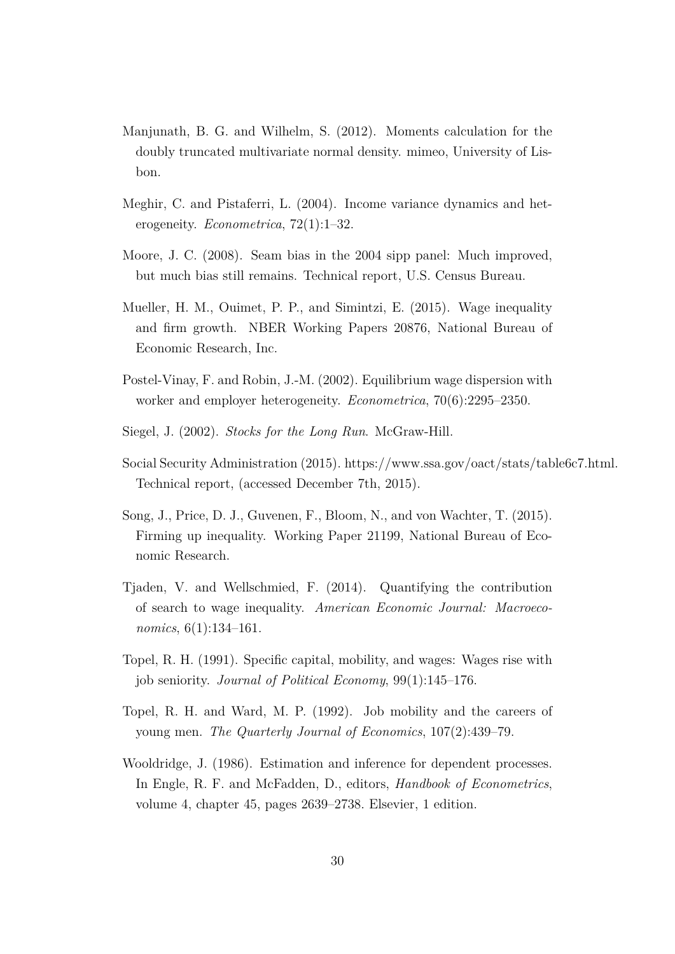- Manjunath, B. G. and Wilhelm, S. (2012). Moments calculation for the doubly truncated multivariate normal density. mimeo, University of Lisbon.
- Meghir, C. and Pistaferri, L. (2004). Income variance dynamics and heterogeneity. *Econometrica*, 72(1):1–32.
- Moore, J. C. (2008). Seam bias in the 2004 sipp panel: Much improved, but much bias still remains. Technical report, U.S. Census Bureau.
- Mueller, H. M., Ouimet, P. P., and Simintzi, E. (2015). Wage inequality and firm growth. NBER Working Papers 20876, National Bureau of Economic Research, Inc.
- Postel-Vinay, F. and Robin, J.-M. (2002). Equilibrium wage dispersion with worker and employer heterogeneity. *Econometrica*, 70(6):2295–2350.
- Siegel, J. (2002). *Stocks for the Long Run*. McGraw-Hill.
- Social Security Administration (2015). https://www.ssa.gov/oact/stats/table6c7.html. Technical report, (accessed December 7th, 2015).
- Song, J., Price, D. J., Guvenen, F., Bloom, N., and von Wachter, T. (2015). Firming up inequality. Working Paper 21199, National Bureau of Economic Research.
- Tjaden, V. and Wellschmied, F. (2014). Quantifying the contribution of search to wage inequality. *American Economic Journal: Macroeconomics*, 6(1):134–161.
- Topel, R. H. (1991). Specific capital, mobility, and wages: Wages rise with job seniority. *Journal of Political Economy*, 99(1):145–176.
- Topel, R. H. and Ward, M. P. (1992). Job mobility and the careers of young men. *The Quarterly Journal of Economics*, 107(2):439–79.
- Wooldridge, J. (1986). Estimation and inference for dependent processes. In Engle, R. F. and McFadden, D., editors, *Handbook of Econometrics*, volume 4, chapter 45, pages 2639–2738. Elsevier, 1 edition.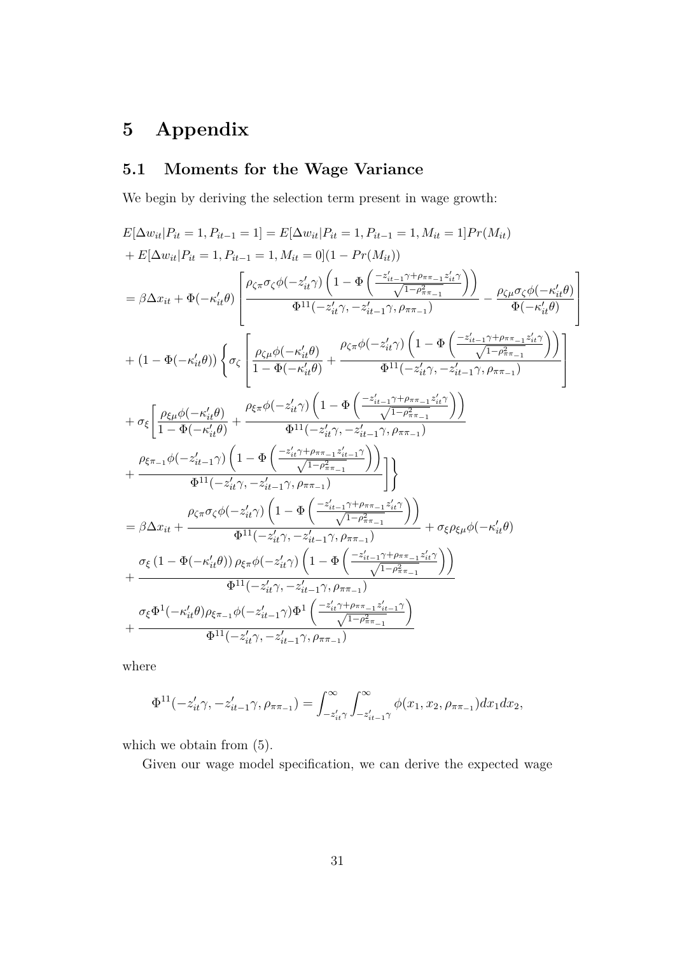# **5 Appendix**

## **5.1 Moments for the Wage Variance**

We begin by deriving the selection term present in wage growth:

$$
\begin{split} &E[\Delta w_{it}|P_{it}=1,P_{it-1}=1]=E[\Delta w_{it}|P_{it}=1,P_{it-1}=1,M_{it}=1] Pr(M_{it})\\&+E[\Delta w_{it}|P_{it}=1,P_{it-1}=1,M_{it}=0](1-Pr(M_{it}))\\&=\beta\Delta x_{it}+\Phi(-\kappa'_{it}\theta)\left[\frac{\rho_{\zeta\pi}\sigma_{\zeta}\phi(-z'_{it}\gamma)\left(1-\Phi\left(\frac{-z'_{it-1}\gamma+\rho_{\pi\pi_{-1}}z'_{it}\gamma}{\sqrt{1-\rho_{\pi\pi_{-1}}^2}\right)}\right)}{\Phi(-\kappa'_{it}\theta)}-\frac{\rho_{\zeta\mu}\sigma_{\zeta}\phi(-\kappa'_{it}\theta)}{\Phi(-\kappa'_{it}\theta)}\right]\\&+(1-\Phi(-\kappa'_{it}\theta))\left\{\sigma_{\zeta}\left[\frac{\rho_{\zeta\mu}\phi(-\kappa'_{it}\theta)}{1-\Phi(-\kappa'_{it}\theta)}+\frac{\rho_{\zeta\pi}\phi(-z'_{it}\gamma)}{\Phi^{11}(-z'_{it}\gamma,-z'_{it-1}\gamma,\rho_{\pi\pi_{-1}})}\right)}{\Phi^{-1}(-z'_{it}\gamma,-z'_{it-1}\gamma,\rho_{\pi\pi_{-1}})}\right]\\&+\sigma_{\xi}\left[\frac{\rho_{\xi\mu}\phi(-\kappa'_{it}\theta)}{1-\Phi(-\kappa'_{it}\theta)}+\frac{\rho_{\xi\pi}\phi(-z'_{it}\gamma)}{\Phi^{11}(-z'_{it}\gamma,-z'_{it-1}\gamma,\rho_{\pi\pi_{-1}}z'_{it}\gamma)}\right]\\&+\sigma_{\xi}\left[\frac{\rho_{\xi\mu}\phi(-\kappa'_{it}\theta)}{1-\Phi(-\kappa'_{it}\theta)}+\frac{\rho_{\xi\pi}\phi(-z'_{it}\gamma)}{\Phi^{11}(-z'_{it}\gamma,-z'_{it-1}\gamma,\rho_{\pi\pi_{-1}})}\right]\\&+\frac{\rho_{\xi\pi_{-1}}\phi(-z'_{it-1}\gamma)\left(1-\Phi\left(\frac{-z'_{it-1}\gamma+\rho_{\pi\pi_{-1}}z'_{it}\gamma}{\sqrt{1-\rho_{\pi\pi_{-1}}^2}\right)}\right)}{\Phi^{11}(-z'_{it}\gamma,-z'_{it-1}\gamma,\rho_{\pi\pi_{-1}})}\right]\\&=\beta\Delta x_{it}+\frac{\rho_{\zeta\pi}\sigma_{\zeta
$$

where

$$
\Phi^{11}(-z_{it}'\gamma, -z_{it-1}'\gamma, \rho_{\pi\pi_{-1}}) = \int_{-z_{it}'\gamma}^{\infty} \int_{-z_{it}'\gamma}^{\infty} \phi(x_1, x_2, \rho_{\pi\pi_{-1}}) dx_1 dx_2,
$$

which we obtain from  $(5)$ .

Given our wage model specification, we can derive the expected wage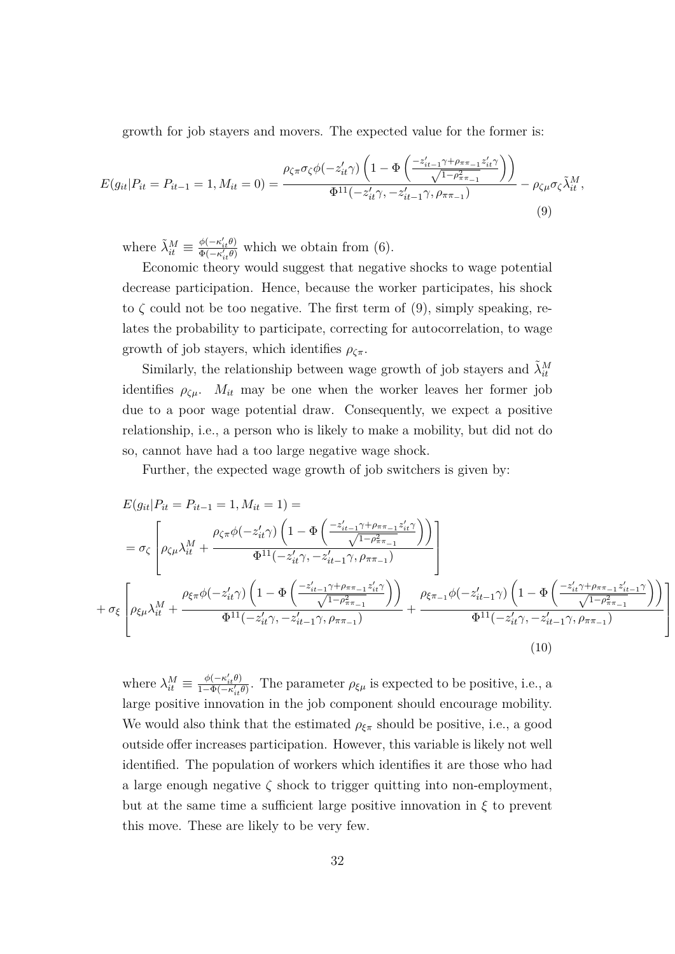growth for job stayers and movers. The expected value for the former is:

$$
E(g_{it}|P_{it}=P_{it-1}=1, M_{it}=0) = \frac{\rho_{\zeta\pi}\sigma_{\zeta}\phi(-z_{it}'\gamma)\left(1-\Phi\left(\frac{-z_{it-1}'\gamma+\rho_{\pi\pi_{-1}}z_{it}'\gamma}{\sqrt{1-\rho_{\pi\pi_{-1}}^2}}\right)\right)}{\Phi^{11}(-z_{it}'\gamma,-z_{it-1}'\gamma,\rho_{\pi\pi_{-1}})} - \rho_{\zeta\mu}\sigma_{\zeta}\tilde{\lambda}_{it}^M,
$$
\n(9)

where  $\tilde{\lambda}_{it}^M \equiv \frac{\phi(-\kappa'_{it}\theta)}{\Phi(-\kappa'_{i}\theta)}$  $\frac{\varphi(-\kappa_{it}\theta)}{\Phi(-\kappa'_{it}\theta)}$  which we obtain from (6).

Economic theory would suggest that negative shocks to wage potential decrease participation. Hence, because the worker participates, his shock to  $\zeta$  could not be too negative. The first term of (9), simply speaking, relates the probability to participate, correcting for autocorrelation, to wage growth of job stayers, which identifies  $\rho_{\zeta\pi}$ .

Similarly, the relationship between wage growth of job stayers and  $\tilde{\lambda}_{it}^M$ identifies  $\rho_{\zeta\mu}$ .  $M_{it}$  may be one when the worker leaves her former job due to a poor wage potential draw. Consequently, we expect a positive relationship, i.e., a person who is likely to make a mobility, but did not do so, cannot have had a too large negative wage shock.

Further, the expected wage growth of job switchers is given by:

$$
E(g_{it}|P_{it} = P_{it-1} = 1, M_{it} = 1) =
$$
\n
$$
= \sigma_{\zeta} \left[ \rho_{\zeta\mu} \lambda_{it}^{M} + \frac{\rho_{\zeta\pi} \phi(-z_{it}^{\prime}\gamma) \left(1 - \Phi\left(\frac{-z_{it-1}^{\prime}\gamma + \rho_{\pi\pi_{-1}}z_{it}^{\prime}\gamma}{\sqrt{1 - \rho_{\pi\pi_{-1}}^{2}}\right)\right)}{\Phi^{11}(-z_{it}^{\prime}\gamma, -z_{it-1}^{\prime}\gamma, \rho_{\pi\pi_{-1}})}\right]
$$
\n
$$
+ \sigma_{\xi} \left[ \rho_{\xi\mu} \lambda_{it}^{M} + \frac{\rho_{\xi\pi} \phi(-z_{it}^{\prime}\gamma) \left(1 - \Phi\left(\frac{-z_{it-1}^{\prime}\gamma + \rho_{\pi\pi_{-1}}z_{it}^{\prime}\gamma}{\sqrt{1 - \rho_{\pi\pi_{-1}}^{2}}\right)\right)}{\Phi^{11}(-z_{it}^{\prime}\gamma, -z_{it-1}^{\prime}\gamma, \rho_{\pi\pi_{-1}})} + \frac{\rho_{\xi\pi_{-1}} \phi(-z_{it-1}^{\prime}\gamma) \left(1 - \Phi\left(\frac{-z_{it}^{\prime}\gamma + \rho_{\pi\pi_{-1}}z_{it-1}^{\prime}\gamma}{\sqrt{1 - \rho_{\pi\pi_{-1}}^{2}}\right)\right)}{\Phi^{11}(-z_{it}^{\prime}\gamma, -z_{it-1}^{\prime}\gamma, \rho_{\pi\pi_{-1}})}\right]} \right]
$$
\n
$$
(10)
$$

where  $\lambda_{it}^M \equiv \frac{\phi(-\kappa_{it}'\theta)}{1-\Phi(-\kappa_{it}'\theta)}$  $\frac{\varphi(-\kappa_{it}\theta)}{1-\Phi(-\kappa'_{it}\theta)}$ . The parameter  $\rho_{\xi\mu}$  is expected to be positive, i.e., a large positive innovation in the job component should encourage mobility. We would also think that the estimated  $\rho_{\xi\pi}$  should be positive, i.e., a good outside offer increases participation. However, this variable is likely not well identified. The population of workers which identifies it are those who had a large enough negative  $\zeta$  shock to trigger quitting into non-employment, but at the same time a sufficient large positive innovation in  $\xi$  to prevent this move. These are likely to be very few.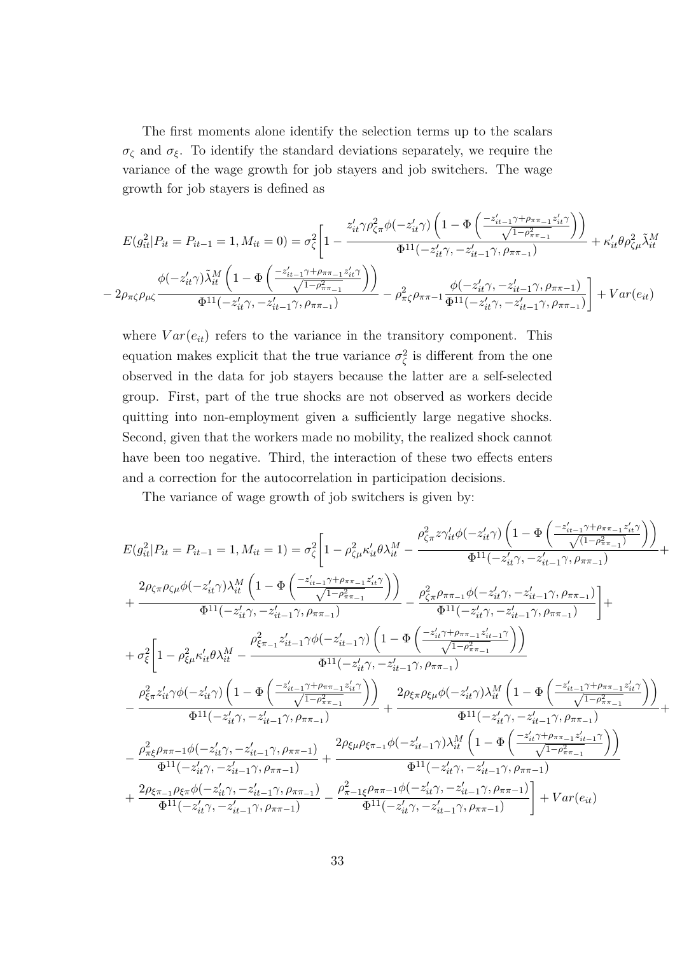The first moments alone identify the selection terms up to the scalars  $\sigma_{\zeta}$  and  $\sigma_{\xi}$ . To identify the standard deviations separately, we require the variance of the wage growth for job stayers and job switchers. The wage growth for job stayers is defined as

$$
E(g_{it}^{2}|P_{it} = P_{it-1} = 1, M_{it} = 0) = \sigma_{\zeta}^{2} \left[ 1 - \frac{z_{it}' \gamma \rho_{\zeta \pi}^{2} \phi(-z_{it}' \gamma) \left( 1 - \Phi \left( \frac{-z_{it-1}' \gamma + \rho_{\pi \pi_{-1}} z_{it}' \gamma}{\sqrt{1 - \rho_{\pi \pi_{-1}}^{2}} \right) \right)}{\Phi^{11}(-z_{it}' \gamma, -z_{it-1}' \gamma, \rho_{\pi \pi_{-1}})} + \kappa_{it}' \theta \rho_{\zeta \mu}^{2} \tilde{\lambda}_{it}^{M}
$$

$$
- 2\rho_{\pi \zeta} \rho_{\mu \zeta} \frac{\phi(-z_{it}' \gamma) \tilde{\lambda}_{it}^{M} \left( 1 - \Phi \left( \frac{-z_{it-1}' \gamma + \rho_{\pi \pi_{-1}} z_{it}' \gamma}{\sqrt{1 - \rho_{\pi \pi_{-1}}^{2}} \right) \right)}{\Phi^{11}(-z_{it}' \gamma, -z_{it-1}' \gamma, \rho_{\pi \pi_{-1}})} - \rho_{\pi \zeta}^{2} \rho_{\pi \pi_{-1}} \frac{\phi(-z_{it}' \gamma, -z_{it-1}' \gamma, \rho_{\pi \pi_{-1}})}{\Phi^{11}(-z_{it}' \gamma, -z_{it-1}' \gamma, \rho_{\pi \pi_{-1}})} \right] + Var(e_{it})
$$

where  $Var(e_{it})$  refers to the variance in the transitory component. This equation makes explicit that the true variance  $\sigma_{\zeta}^2$  is different from the one observed in the data for job stayers because the latter are a self-selected group. First, part of the true shocks are not observed as workers decide quitting into non-employment given a sufficiently large negative shocks. Second, given that the workers made no mobility, the realized shock cannot have been too negative. Third, the interaction of these two effects enters and a correction for the autocorrelation in participation decisions.

The variance of wage growth of job switchers is given by:

$$
E(g_{it}^2|P_{it}=P_{it-1}=1, M_{it}=1)=\sigma_{\zeta}^2\bigg[1-\rho_{\zeta\mu}^2\kappa'_{it}\theta\lambda_{it}^M-\frac{\rho_{\zeta\pi}^2\mathcal{N}'_{it}\phi(-z'_{it}\gamma)\left(1-\Phi\left(\frac{-z'_{it-1}\gamma+\rho_{\pi\pi_{-1}}z'_{it}\gamma}{\sqrt{(1-\rho_{\pi\pi_{-1}}^2)}\right)\right)}{\Phi^{11}(-z'_{it}\gamma,-z'_{it-1}\gamma,\rho_{\pi\pi_{-1}})}+\frac{2\rho_{\zeta\pi}\rho_{\zeta\mu}\phi(-z'_{it}\gamma)\lambda_{it}^M\left(1-\Phi\left(\frac{-z'_{it-1}\gamma+\rho_{\pi\pi_{-1}}z'_{it}\gamma}{\sqrt{1-\rho_{\pi\pi_{-1}}^2}\right)\right)}{\Phi^{11}(-z'_{it}\gamma,-z'_{it-1}\gamma,\rho_{\pi\pi_{-1}})}-\frac{\rho_{\zeta\pi}^2\rho_{\pi\pi_{-1}}\phi(-z'_{it}\gamma,-z'_{it-1}\gamma,\rho_{\pi\pi_{-1}})}{\Phi^{11}(-z'_{it}\gamma,-z'_{it-1}\gamma,\rho_{\pi\pi_{-1}})}\bigg]+\\\nonumber+\sigma_{\xi}^2\bigg[1-\rho_{\xi\mu}^2\kappa'_{it}\theta\lambda_{it}^M-\frac{\rho_{\xi\pi_{-1}}^2z'_{it-1}\gamma\phi(-z'_{it-1}\gamma)}{\Phi^{11}(-z'_{it}\gamma,-z'_{it-1}\gamma,\rho_{\pi\pi_{-1}})}-\frac{\rho_{\zeta\pi}^2\rho_{\pi\pi_{-1}}z'_{it-1}\gamma}{\sqrt{1-\rho_{\pi\pi_{-1}}^2}}\bigg)\bigg]}{\Phi^{11}(-z'_{it}\gamma,-z'_{it-1}\gamma,\rho_{\pi\pi_{-1}})}-\frac{\rho_{\xi\pi}^2z'_{it}\gamma\phi(-z'_{it}\gamma)\left(1-\Phi\left(\frac{-z'_{it-1}\gamma+\rho_{\pi\pi_{-1}}z'_{it}\gamma}{\sqrt{1-\rho_{\pi\pi_{-1}}^2}\right)\right)}{\Phi^{11}(-z'_{it}\gamma,-z'_{it-1}\gamma,\rho_{\pi\pi_{-1}})}+\frac{\rho_{\xi\pi}^2z'_{it}\gamma\phi(-z'_{it}\
$$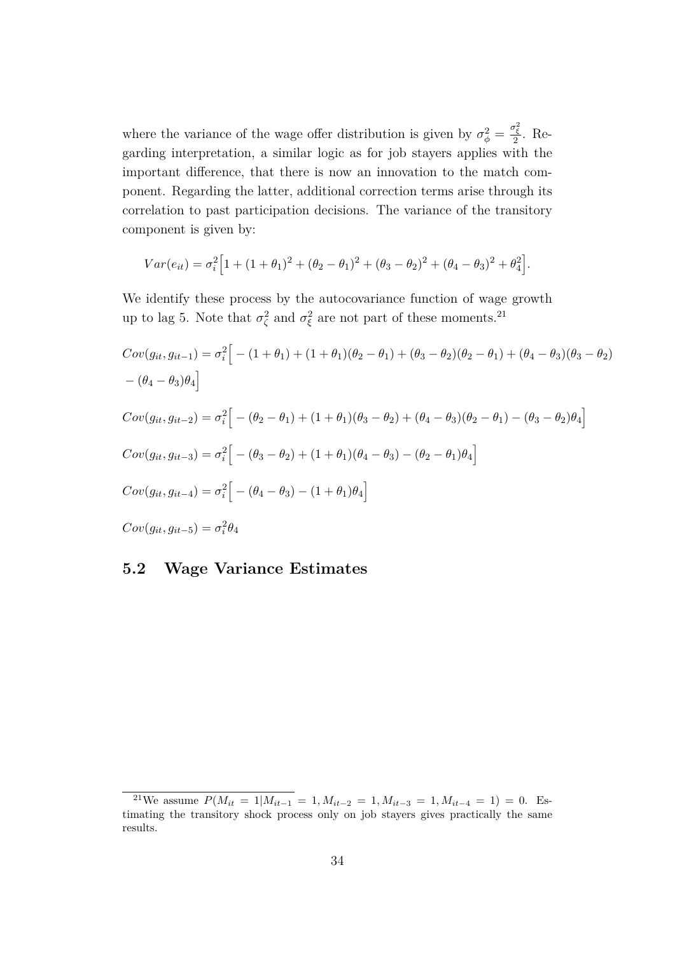where the variance of the wage offer distribution is given by  $\sigma_{\phi}^2 = \frac{\sigma_{\xi}^2}{2}$ . Regarding interpretation, a similar logic as for job stayers applies with the important difference, that there is now an innovation to the match component. Regarding the latter, additional correction terms arise through its correlation to past participation decisions. The variance of the transitory component is given by:

$$
Var(e_{it}) = \sigma_i^2 \Big[ 1 + (1 + \theta_1)^2 + (\theta_2 - \theta_1)^2 + (\theta_3 - \theta_2)^2 + (\theta_4 - \theta_3)^2 + \theta_4^2 \Big].
$$

We identify these process by the autocovariance function of wage growth up to lag 5. Note that  $\sigma_{\zeta}^2$  and  $\sigma_{\xi}^2$  are not part of these moments.<sup>21</sup>

$$
Cov(g_{it}, g_{it-1}) = \sigma_i^2 \Big[ - (1 + \theta_1) + (1 + \theta_1)(\theta_2 - \theta_1) + (\theta_3 - \theta_2)(\theta_2 - \theta_1) + (\theta_4 - \theta_3)(\theta_3 - \theta_2)
$$
  
-( $\theta_4 - \theta_3)\theta_4$ \Big]  
\n
$$
Cov(g_{it}, g_{it-2}) = \sigma_i^2 \Big[ - (\theta_2 - \theta_1) + (1 + \theta_1)(\theta_3 - \theta_2) + (\theta_4 - \theta_3)(\theta_2 - \theta_1) - (\theta_3 - \theta_2)\theta_4 \Big]
$$
  
\n
$$
Cov(g_{it}, g_{it-3}) = \sigma_i^2 \Big[ - (\theta_3 - \theta_2) + (1 + \theta_1)(\theta_4 - \theta_3) - (\theta_2 - \theta_1)\theta_4 \Big]
$$
  
\n
$$
Cov(g_{it}, g_{it-4}) = \sigma_i^2 \Big[ - (\theta_4 - \theta_3) - (1 + \theta_1)\theta_4 \Big]
$$
  
\n
$$
Cov(g_{it}, g_{it-5}) = \sigma_i^2 \theta_4
$$

## **5.2 Wage Variance Estimates**

<sup>&</sup>lt;sup>21</sup>We assume  $P(M_{it} = 1|M_{it-1} = 1, M_{it-2} = 1, M_{it-3} = 1, M_{it-4} = 1) = 0$ . Estimating the transitory shock process only on job stayers gives practically the same results.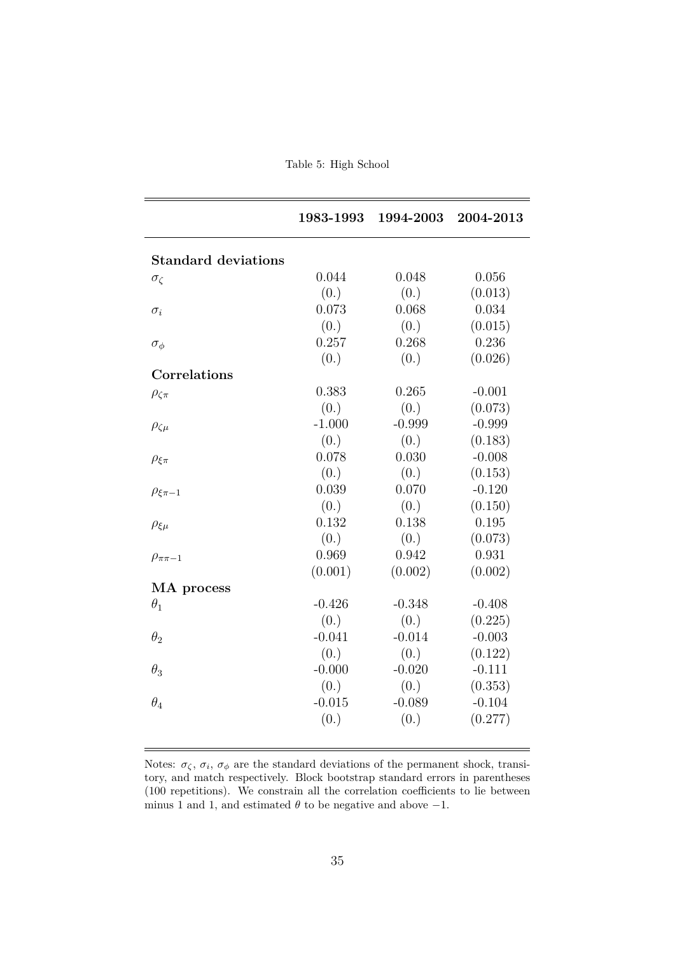Table 5: High School

|                            | 1983-1993 | 1994-2003 | 2004-2013 |
|----------------------------|-----------|-----------|-----------|
| <b>Standard deviations</b> |           |           |           |
| $\sigma_{\zeta}$           | 0.044     | 0.048     | 0.056     |
|                            | (0.)      | (0.)      | (0.013)   |
| $\sigma_i$                 | 0.073     | 0.068     | 0.034     |
|                            | (0.)      | (0.)      | (0.015)   |
| $\sigma_{\phi}$            | 0.257     | 0.268     | 0.236     |
|                            | (0.)      | (0.)      | (0.026)   |
| Correlations               |           |           |           |
| $\rho_{\zeta\pi}$          | 0.383     | 0.265     | $-0.001$  |
|                            | (0.)      | (0.)      | (0.073)   |
| $\rho_{\zeta\mu}$          | $-1.000$  | $-0.999$  | $-0.999$  |
|                            | (0.)      | (0.)      | (0.183)   |
| $\rho_{\xi\pi}$            | 0.078     | 0.030     | $-0.008$  |
|                            | (0.)      | (0.)      | (0.153)   |
| $\rho_{\xi\pi-1}$          | 0.039     | 0.070     | $-0.120$  |
|                            | (0.)      | (0.)      | (0.150)   |
| $\rho_{\xi\mu}$            | 0.132     | 0.138     | 0.195     |
|                            | (0.)      | (0.)      | (0.073)   |
| $\rho_{\pi\pi-1}$          | 0.969     | 0.942     | 0.931     |
|                            | (0.001)   | (0.002)   | (0.002)   |
| MA process                 |           |           |           |
| $\theta_1$                 | $-0.426$  | $-0.348$  | $-0.408$  |
|                            | (0.)      | (0.)      | (0.225)   |
| $\theta_2$                 | $-0.041$  | $-0.014$  | $-0.003$  |
|                            | (0.)      | (0.)      | (0.122)   |
| $\theta_3$                 | $-0.000$  | $-0.020$  | $-0.111$  |
|                            | (0.)      | (0.)      | (0.353)   |
| $\theta_4$                 | $-0.015$  | $-0.089$  | $-0.104$  |
|                            | (0.)      | (0.)      | (0.277)   |

Notes:  $\sigma_{\zeta}$ ,  $\sigma_{i}$ ,  $\sigma_{\phi}$  are the standard deviations of the permanent shock, transitory, and match respectively. Block bootstrap standard errors in parentheses (100 repetitions). We constrain all the correlation coefficients to lie between minus 1 and 1, and estimated  $\theta$  to be negative and above  $-1$ .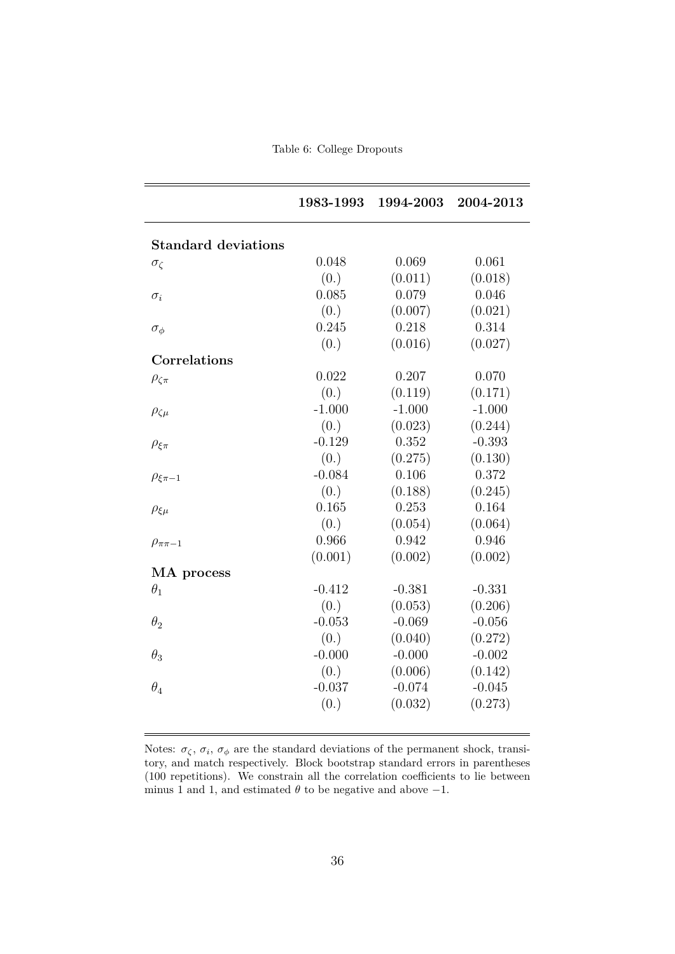Table 6: College Dropouts

|                            | 1983-1993 | 1994-2003 | 2004-2013 |
|----------------------------|-----------|-----------|-----------|
|                            |           |           |           |
| <b>Standard deviations</b> |           |           |           |
| $\sigma_{\zeta}$           | 0.048     | 0.069     | 0.061     |
|                            | (0.)      | (0.011)   | (0.018)   |
| $\sigma_i$                 | 0.085     | 0.079     | 0.046     |
|                            | (0.)      | (0.007)   | (0.021)   |
| $\sigma_{\phi}$            | 0.245     | 0.218     | 0.314     |
|                            | (0.)      | (0.016)   | (0.027)   |
| Correlations               |           |           |           |
| $\rho_{\zeta\pi}$          | 0.022     | 0.207     | 0.070     |
|                            | (0.)      | (0.119)   | (0.171)   |
| $\rho_{\zeta\mu}$          | $-1.000$  | $-1.000$  | $-1.000$  |
|                            | (0.)      | (0.023)   | (0.244)   |
| $\rho_{\xi\pi}$            | $-0.129$  | 0.352     | $-0.393$  |
|                            | (0.)      | (0.275)   | (0.130)   |
| $\rho_{\xi\pi-1}$          | $-0.084$  | 0.106     | 0.372     |
|                            | (0.)      | (0.188)   | (0.245)   |
| $\rho_{\xi\mu}$            | 0.165     | 0.253     | 0.164     |
|                            | (0.)      | (0.054)   | (0.064)   |
| $\rho_{\pi\pi-1}$          | 0.966     | 0.942     | 0.946     |
|                            | (0.001)   | (0.002)   | (0.002)   |
| MA process                 |           |           |           |
| $\theta_1$                 | $-0.412$  | $-0.381$  | $-0.331$  |
|                            | (0.)      | (0.053)   | (0.206)   |
| $\theta_2$                 | $-0.053$  | $-0.069$  | $-0.056$  |
|                            | (0.)      | (0.040)   | (0.272)   |
| $\theta_3$                 | $-0.000$  | $-0.000$  | $-0.002$  |
|                            | (0.)      | (0.006)   | (0.142)   |
| $\theta_4$                 | $-0.037$  | $-0.074$  | $-0.045$  |
|                            | (0.)      | (0.032)   | (0.273)   |
|                            |           |           |           |

Notes:  $\sigma_{\zeta}$ ,  $\sigma_{i}$ ,  $\sigma_{\phi}$  are the standard deviations of the permanent shock, transitory, and match respectively. Block bootstrap standard errors in parentheses (100 repetitions). We constrain all the correlation coefficients to lie between minus 1 and 1, and estimated  $\theta$  to be negative and above  $-1$ .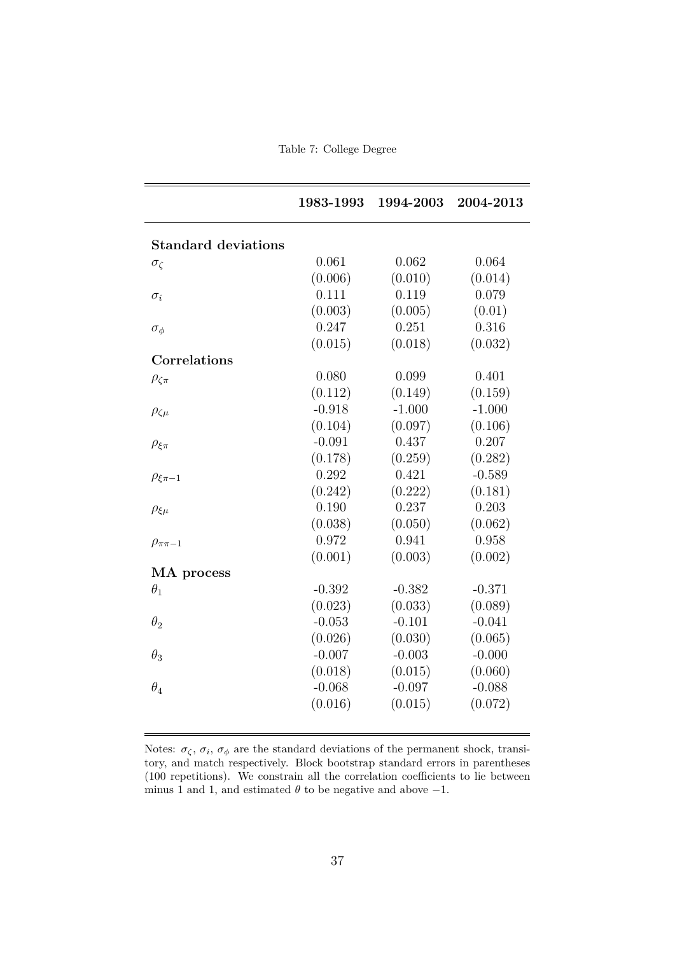Table 7: College Degree

|                            | 1983-1993 | 1994-2003 | 2004-2013 |
|----------------------------|-----------|-----------|-----------|
| <b>Standard deviations</b> |           |           |           |
| $\sigma_{\zeta}$           | 0.061     | 0.062     | 0.064     |
|                            | (0.006)   | (0.010)   | (0.014)   |
| $\sigma_i$                 | 0.111     | 0.119     | 0.079     |
|                            | (0.003)   | (0.005)   | (0.01)    |
| $\sigma_{\phi}$            | 0.247     | 0.251     | 0.316     |
|                            | (0.015)   | (0.018)   | (0.032)   |
| Correlations               |           |           |           |
| $\rho_{\zeta\pi}$          | 0.080     | 0.099     | 0.401     |
|                            | (0.112)   | (0.149)   | (0.159)   |
| $\rho_{\zeta\mu}$          | $-0.918$  | $-1.000$  | $-1.000$  |
|                            | (0.104)   | (0.097)   | (0.106)   |
| $\rho_{\xi\pi}$            | $-0.091$  | 0.437     | 0.207     |
|                            | (0.178)   | (0.259)   | (0.282)   |
| $\rho_{\xi\pi-1}$          | 0.292     | 0.421     | $-0.589$  |
|                            | (0.242)   | (0.222)   | (0.181)   |
| $\rho_{\xi\mu}$            | 0.190     | 0.237     | 0.203     |
|                            | (0.038)   | (0.050)   | (0.062)   |
| $\rho_{\pi\pi-1}$          | 0.972     | 0.941     | 0.958     |
|                            | (0.001)   | (0.003)   | (0.002)   |
| MA process                 |           |           |           |
| $\theta_1$                 | $-0.392$  | $-0.382$  | $-0.371$  |
|                            | (0.023)   | (0.033)   | (0.089)   |
| $\theta_2$                 | $-0.053$  | $-0.101$  | $-0.041$  |
|                            | (0.026)   | (0.030)   | (0.065)   |
| $\theta_3$                 | $-0.007$  | $-0.003$  | $-0.000$  |
|                            | (0.018)   | (0.015)   | (0.060)   |
| $\theta_4$                 | $-0.068$  | $-0.097$  | $-0.088$  |
|                            | (0.016)   | (0.015)   | (0.072)   |

Notes:  $\sigma_{\zeta}$ ,  $\sigma_{i}$ ,  $\sigma_{\phi}$  are the standard deviations of the permanent shock, transitory, and match respectively. Block bootstrap standard errors in parentheses (100 repetitions). We constrain all the correlation coefficients to lie between minus 1 and 1, and estimated  $\theta$  to be negative and above  $-1$ .